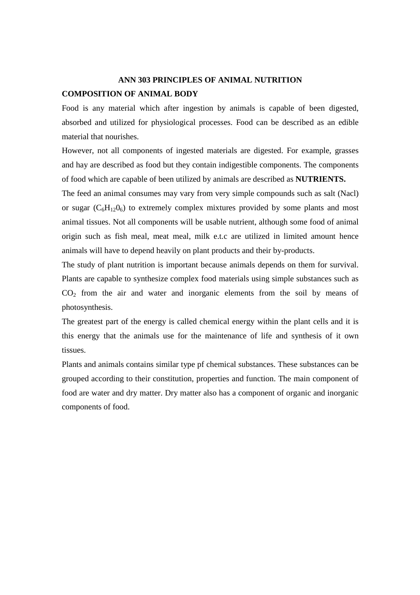# **ANN 303 PRINCIPLES OF ANIMAL NUTRITION COMPOSITION OF ANIMAL BODY**

Food is any material which after ingestion by animals is capable of been digested, absorbed and utilized for physiological processes. Food can be described as an edible material that nourishes.

However, not all components of ingested materials are digested. For example, grasses and hay are described as food but they contain indigestible components. The components of food which are capable of been utilized by animals are described as **NUTRIENTS.** 

The feed an animal consumes may vary from very simple compounds such as salt (Nacl) or sugar  $(C_6H_{12}O_6)$  to extremely complex mixtures provided by some plants and most animal tissues. Not all components will be usable nutrient, although some food of animal origin such as fish meal, meat meal, milk e.t.c are utilized in limited amount hence animals will have to depend heavily on plant products and their by-products.

The study of plant nutrition is important because animals depends on them for survival. Plants are capable to synthesize complex food materials using simple substances such as  $CO<sub>2</sub>$  from the air and water and inorganic elements from the soil by means of photosynthesis.

The greatest part of the energy is called chemical energy within the plant cells and it is this energy that the animals use for the maintenance of life and synthesis of it own tissues.

Plants and animals contains similar type pf chemical substances. These substances can be grouped according to their constitution, properties and function. The main component of food are water and dry matter. Dry matter also has a component of organic and inorganic components of food.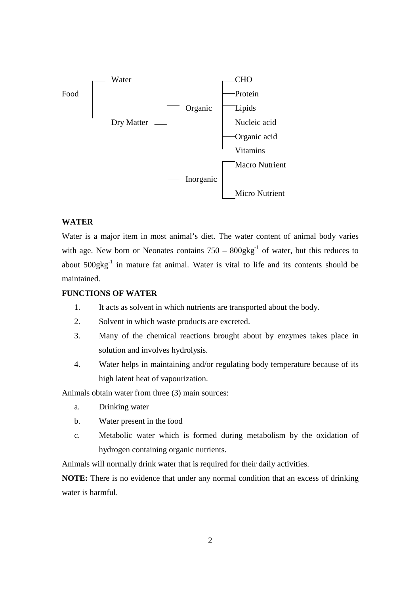

# **WATER**

Water is a major item in most animal's diet. The water content of animal body varies with age. New born or Neonates contains  $750 - 800$ gkg<sup>-1</sup> of water, but this reduces to about 500gkg-1 in mature fat animal. Water is vital to life and its contents should be maintained.

# **FUNCTIONS OF WATER**

- 1. It acts as solvent in which nutrients are transported about the body.
- 2. Solvent in which waste products are excreted.
- 3. Many of the chemical reactions brought about by enzymes takes place in solution and involves hydrolysis.
- 4. Water helps in maintaining and/or regulating body temperature because of its high latent heat of vapourization.

Animals obtain water from three (3) main sources:

- a. Drinking water
- b. Water present in the food
- c. Metabolic water which is formed during metabolism by the oxidation of hydrogen containing organic nutrients.

Animals will normally drink water that is required for their daily activities.

**NOTE:** There is no evidence that under any normal condition that an excess of drinking water is harmful.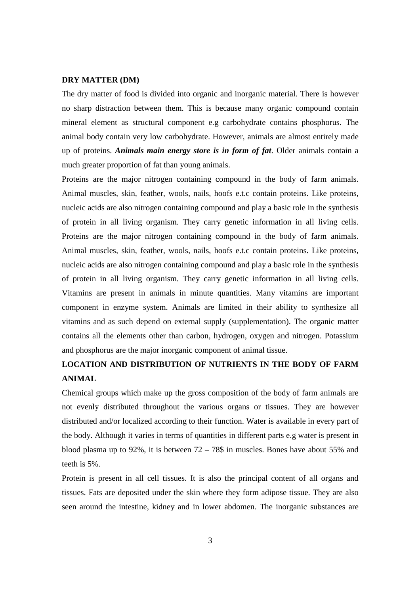#### **DRY MATTER (DM)**

The dry matter of food is divided into organic and inorganic material. There is however no sharp distraction between them. This is because many organic compound contain mineral element as structural component e.g carbohydrate contains phosphorus. The animal body contain very low carbohydrate. However, animals are almost entirely made up of proteins. *Animals main energy store is in form of fat*. Older animals contain a much greater proportion of fat than young animals.

Proteins are the major nitrogen containing compound in the body of farm animals. Animal muscles, skin, feather, wools, nails, hoofs e.t.c contain proteins. Like proteins, nucleic acids are also nitrogen containing compound and play a basic role in the synthesis of protein in all living organism. They carry genetic information in all living cells. Proteins are the major nitrogen containing compound in the body of farm animals. Animal muscles, skin, feather, wools, nails, hoofs e.t.c contain proteins. Like proteins, nucleic acids are also nitrogen containing compound and play a basic role in the synthesis of protein in all living organism. They carry genetic information in all living cells. Vitamins are present in animals in minute quantities. Many vitamins are important component in enzyme system. Animals are limited in their ability to synthesize all vitamins and as such depend on external supply (supplementation). The organic matter contains all the elements other than carbon, hydrogen, oxygen and nitrogen. Potassium and phosphorus are the major inorganic component of animal tissue.

# **LOCATION AND DISTRIBUTION OF NUTRIENTS IN THE BODY OF FARM ANIMAL**

Chemical groups which make up the gross composition of the body of farm animals are not evenly distributed throughout the various organs or tissues. They are however distributed and/or localized according to their function. Water is available in every part of the body. Although it varies in terms of quantities in different parts e.g water is present in blood plasma up to 92%, it is between  $72 - 78\$  in muscles. Bones have about 55% and teeth is 5%.

Protein is present in all cell tissues. It is also the principal content of all organs and tissues. Fats are deposited under the skin where they form adipose tissue. They are also seen around the intestine, kidney and in lower abdomen. The inorganic substances are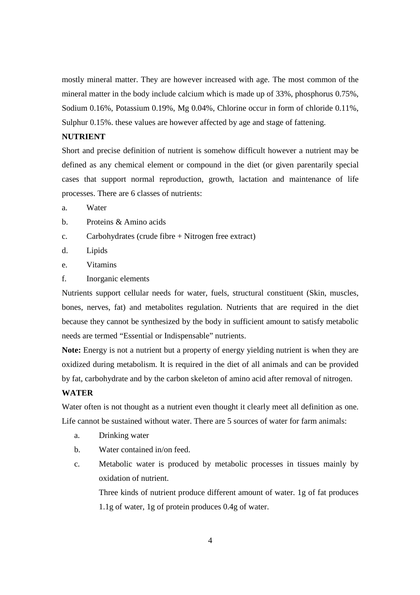mostly mineral matter. They are however increased with age. The most common of the mineral matter in the body include calcium which is made up of 33%, phosphorus 0.75%, Sodium 0.16%, Potassium 0.19%, Mg 0.04%, Chlorine occur in form of chloride 0.11%, Sulphur 0.15%. these values are however affected by age and stage of fattening.

# **NUTRIENT**

Short and precise definition of nutrient is somehow difficult however a nutrient may be defined as any chemical element or compound in the diet (or given parentarily special cases that support normal reproduction, growth, lactation and maintenance of life processes. There are 6 classes of nutrients:

- a. Water
- b. Proteins & Amino acids
- c. Carbohydrates (crude fibre + Nitrogen free extract)
- d. Lipids
- e. Vitamins
- f. Inorganic elements

Nutrients support cellular needs for water, fuels, structural constituent (Skin, muscles, bones, nerves, fat) and metabolites regulation. Nutrients that are required in the diet because they cannot be synthesized by the body in sufficient amount to satisfy metabolic needs are termed "Essential or Indispensable" nutrients.

**Note:** Energy is not a nutrient but a property of energy yielding nutrient is when they are oxidized during metabolism. It is required in the diet of all animals and can be provided by fat, carbohydrate and by the carbon skeleton of amino acid after removal of nitrogen.

#### **WATER**

Water often is not thought as a nutrient even thought it clearly meet all definition as one. Life cannot be sustained without water. There are 5 sources of water for farm animals:

- a. Drinking water
- b. Water contained in/on feed.
- c. Metabolic water is produced by metabolic processes in tissues mainly by oxidation of nutrient.

Three kinds of nutrient produce different amount of water. 1g of fat produces 1.1g of water, 1g of protein produces 0.4g of water.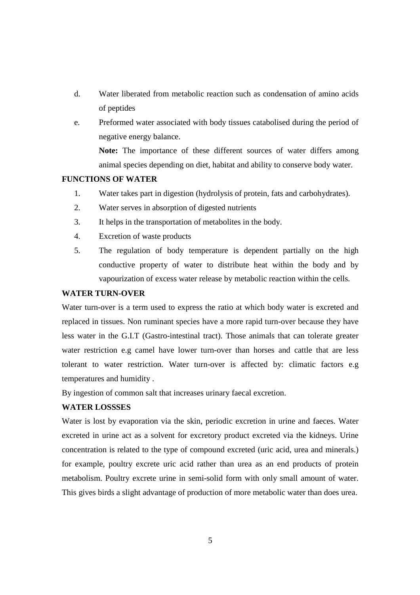- d. Water liberated from metabolic reaction such as condensation of amino acids of peptides
- e. Preformed water associated with body tissues catabolised during the period of negative energy balance.

**Note:** The importance of these different sources of water differs among animal species depending on diet, habitat and ability to conserve body water.

## **FUNCTIONS OF WATER**

- 1. Water takes part in digestion (hydrolysis of protein, fats and carbohydrates).
- 2. Water serves in absorption of digested nutrients
- 3. It helps in the transportation of metabolites in the body.
- 4. Excretion of waste products
- 5. The regulation of body temperature is dependent partially on the high conductive property of water to distribute heat within the body and by vapourization of excess water release by metabolic reaction within the cells.

#### **WATER TURN-OVER**

Water turn-over is a term used to express the ratio at which body water is excreted and replaced in tissues. Non ruminant species have a more rapid turn-over because they have less water in the G.I.T (Gastro-intestinal tract). Those animals that can tolerate greater water restriction e.g camel have lower turn-over than horses and cattle that are less tolerant to water restriction. Water turn-over is affected by: climatic factors e.g temperatures and humidity .

By ingestion of common salt that increases urinary faecal excretion.

### **WATER LOSSSES**

Water is lost by evaporation via the skin, periodic excretion in urine and faeces. Water excreted in urine act as a solvent for excretory product excreted via the kidneys. Urine concentration is related to the type of compound excreted (uric acid, urea and minerals.) for example, poultry excrete uric acid rather than urea as an end products of protein metabolism. Poultry excrete urine in semi-solid form with only small amount of water. This gives birds a slight advantage of production of more metabolic water than does urea.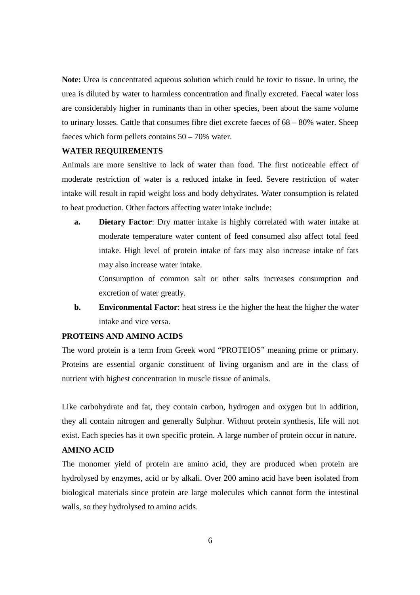**Note:** Urea is concentrated aqueous solution which could be toxic to tissue. In urine, the urea is diluted by water to harmless concentration and finally excreted. Faecal water loss are considerably higher in ruminants than in other species, been about the same volume to urinary losses. Cattle that consumes fibre diet excrete faeces of 68 – 80% water. Sheep faeces which form pellets contains 50 – 70% water.

## **WATER REQUIREMENTS**

Animals are more sensitive to lack of water than food. The first noticeable effect of moderate restriction of water is a reduced intake in feed. Severe restriction of water intake will result in rapid weight loss and body dehydrates. Water consumption is related to heat production. Other factors affecting water intake include:

**a. Dietary Factor**: Dry matter intake is highly correlated with water intake at moderate temperature water content of feed consumed also affect total feed intake. High level of protein intake of fats may also increase intake of fats may also increase water intake.

Consumption of common salt or other salts increases consumption and excretion of water greatly.

**b. Environmental Factor**: heat stress i.e the higher the heat the higher the water intake and vice versa.

#### **PROTEINS AND AMINO ACIDS**

The word protein is a term from Greek word "PROTEIOS" meaning prime or primary. Proteins are essential organic constituent of living organism and are in the class of nutrient with highest concentration in muscle tissue of animals.

Like carbohydrate and fat, they contain carbon, hydrogen and oxygen but in addition, they all contain nitrogen and generally Sulphur. Without protein synthesis, life will not exist. Each species has it own specific protein. A large number of protein occur in nature.

# **AMINO ACID**

The monomer yield of protein are amino acid, they are produced when protein are hydrolysed by enzymes, acid or by alkali. Over 200 amino acid have been isolated from biological materials since protein are large molecules which cannot form the intestinal walls, so they hydrolysed to amino acids.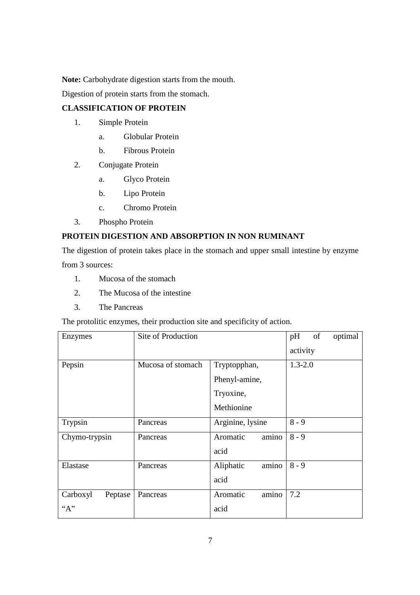**Note:** Carbohydrate digestion starts from the mouth.

Digestion of protein starts from the stomach.

# **CLASSIFICATION OF PROTEIN**

- 1. Simple Protein
	- a. Globular Protein
	- b. Fibrous Protein
- 2. Conjugate Protein
	- a. Glyco Protein
	- b. Lipo Protein
	- c. Chromo Protein
- 3. Phospho Protein

# **PROTEIN DIGESTION AND ABSORPTION IN NON RUMINANT**

The digestion of protein takes place in the stomach and upper small intestine by enzyme from 3 sources:

- 1. Mucosa of the stomach
- 2. The Mucosa of the intestine
- 3. The Pancreas

The protolitic enzymes, their production site and specificity of action.

| Enzymes             | Site of Production |                    | pH          | of | optimal |
|---------------------|--------------------|--------------------|-------------|----|---------|
|                     |                    |                    | activity    |    |         |
| Pepsin              | Mucosa of stomach  | Tryptopphan,       | $1.3 - 2.0$ |    |         |
|                     |                    | Phenyl-amine,      |             |    |         |
|                     |                    | Tryoxine,          |             |    |         |
|                     |                    | Methionine         |             |    |         |
| Trypsin             | Pancreas           | Arginine, lysine   | $8 - 9$     |    |         |
| Chymo-trypsin       | Pancreas           | amino<br>Aromatic  | $8 - 9$     |    |         |
|                     |                    | acid               |             |    |         |
| Elastase            | Pancreas           | amino<br>Aliphatic | $8 - 9$     |    |         |
|                     |                    | acid               |             |    |         |
| Carboxyl<br>Peptase | Pancreas           | amino<br>Aromatic  | 7.2         |    |         |
| ``A"                |                    | acid               |             |    |         |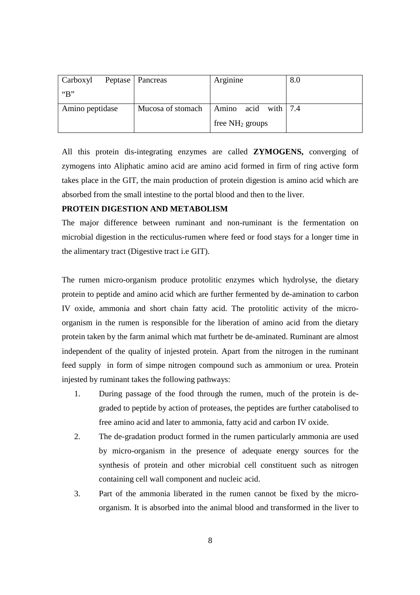| Carboxyl        | Peptase   Pancreas | Arginine            | 8.0 |
|-----------------|--------------------|---------------------|-----|
| B               |                    |                     |     |
| Amino peptidase | Mucosa of stomach  | Amino acid with 7.4 |     |
|                 |                    | free $NH2$ groups   |     |

All this protein dis-integrating enzymes are called **ZYMOGENS,** converging of zymogens into Aliphatic amino acid are amino acid formed in firm of ring active form takes place in the GIT, the main production of protein digestion is amino acid which are absorbed from the small intestine to the portal blood and then to the liver.

## **PROTEIN DIGESTION AND METABOLISM**

The major difference between ruminant and non-ruminant is the fermentation on microbial digestion in the recticulus-rumen where feed or food stays for a longer time in the alimentary tract (Digestive tract i.e GIT).

The rumen micro-organism produce protolitic enzymes which hydrolyse, the dietary protein to peptide and amino acid which are further fermented by de-amination to carbon IV oxide, ammonia and short chain fatty acid. The protolitic activity of the microorganism in the rumen is responsible for the liberation of amino acid from the dietary protein taken by the farm animal which mat furthetr be de-aminated. Ruminant are almost independent of the quality of injested protein. Apart from the nitrogen in the ruminant feed supply in form of simpe nitrogen compound such as ammonium or urea. Protein injested by ruminant takes the following pathways:

- 1. During passage of the food through the rumen, much of the protein is degraded to peptide by action of proteases, the peptides are further catabolised to free amino acid and later to ammonia, fatty acid and carbon IV oxide.
- 2. The de-gradation product formed in the rumen particularly ammonia are used by micro-organism in the presence of adequate energy sources for the synthesis of protein and other microbial cell constituent such as nitrogen containing cell wall component and nucleic acid.
- 3. Part of the ammonia liberated in the rumen cannot be fixed by the microorganism. It is absorbed into the animal blood and transformed in the liver to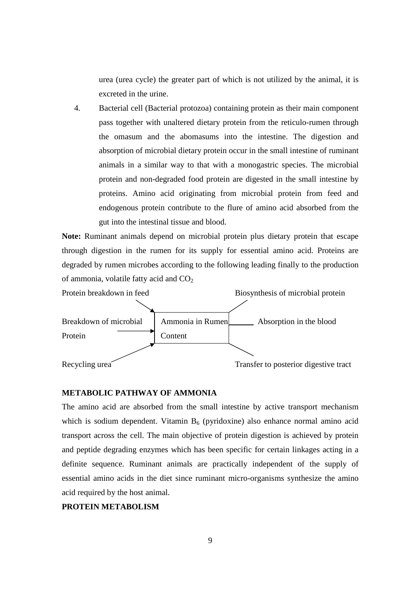urea (urea cycle) the greater part of which is not utilized by the animal, it is excreted in the urine.

4. Bacterial cell (Bacterial protozoa) containing protein as their main component pass together with unaltered dietary protein from the reticulo-rumen through the omasum and the abomasums into the intestine. The digestion and absorption of microbial dietary protein occur in the small intestine of ruminant animals in a similar way to that with a monogastric species. The microbial protein and non-degraded food protein are digested in the small intestine by proteins. Amino acid originating from microbial protein from feed and endogenous protein contribute to the flure of amino acid absorbed from the gut into the intestinal tissue and blood.

**Note:** Ruminant animals depend on microbial protein plus dietary protein that escape through digestion in the rumen for its supply for essential amino acid. Proteins are degraded by rumen microbes according to the following leading finally to the production of ammonia, volatile fatty acid and CO<sub>2</sub>



#### **METABOLIC PATHWAY OF AMMONIA**

The amino acid are absorbed from the small intestine by active transport mechanism which is sodium dependent. Vitamin  $B_6$  (pyridoxine) also enhance normal amino acid transport across the cell. The main objective of protein digestion is achieved by protein and peptide degrading enzymes which has been specific for certain linkages acting in a definite sequence. Ruminant animals are practically independent of the supply of essential amino acids in the diet since ruminant micro-organisms synthesize the amino acid required by the host animal.

## **PROTEIN METABOLISM**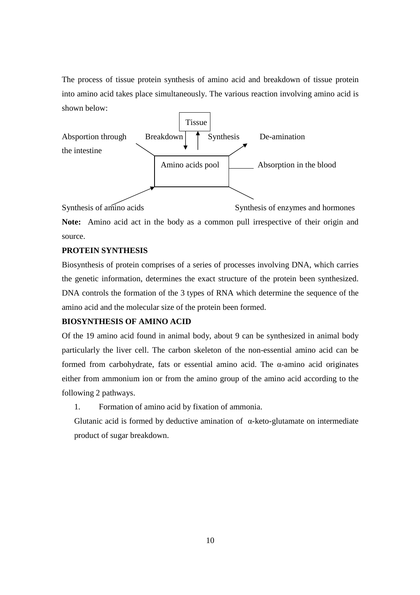The process of tissue protein synthesis of amino acid and breakdown of tissue protein into amino acid takes place simultaneously. The various reaction involving amino acid is shown below:



Synthesis of amino acids Synthesis of enzymes and hormones **Note:** Amino acid act in the body as a common pull irrespective of their origin and source.

## **PROTEIN SYNTHESIS**

Biosynthesis of protein comprises of a series of processes involving DNA, which carries the genetic information, determines the exact structure of the protein been synthesized. DNA controls the formation of the 3 types of RNA which determine the sequence of the amino acid and the molecular size of the protein been formed.

# **BIOSYNTHESIS OF AMINO ACID**

Of the 19 amino acid found in animal body, about 9 can be synthesized in animal body particularly the liver cell. The carbon skeleton of the non-essential amino acid can be formed from carbohydrate, fats or essential amino acid. The α-amino acid originates either from ammonium ion or from the amino group of the amino acid according to the following 2 pathways.

1. Formation of amino acid by fixation of ammonia.

Glutanic acid is formed by deductive amination of α-keto-glutamate on intermediate product of sugar breakdown.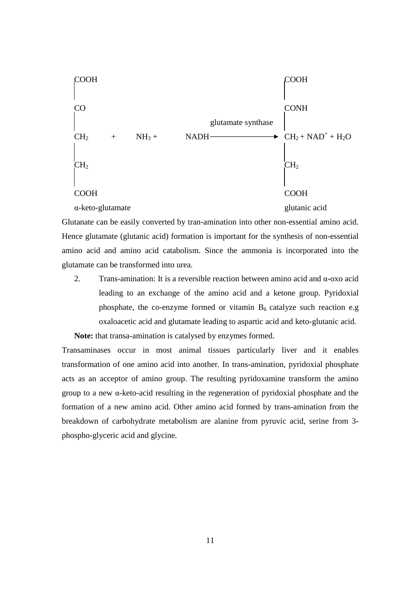

Glutanate can be easily converted by tran-amination into other non-essential amino acid. Hence glutamate (glutanic acid) formation is important for the synthesis of non-essential amino acid and amino acid catabolism. Since the ammonia is incorporated into the glutamate can be transformed into urea.

2. Trans-amination: It is a reversible reaction between amino acid and α-oxo acid leading to an exchange of the amino acid and a ketone group. Pyridoxial phosphate, the co-enzyme formed or vitamin  $B_6$  catalyze such reaction e.g oxaloacetic acid and glutamate leading to aspartic acid and keto-glutanic acid.

**Note:** that transa-amination is catalysed by enzymes formed.

Transaminases occur in most animal tissues particularly liver and it enables transformation of one amino acid into another. In trans-amination, pyridoxial phosphate acts as an acceptor of amino group. The resulting pyridoxamine transform the amino group to a new α-keto-acid resulting in the regeneration of pyridoxial phosphate and the formation of a new amino acid. Other amino acid formed by trans-amination from the breakdown of carbohydrate metabolism are alanine from pyruvic acid, serine from 3 phospho-glyceric acid and glycine.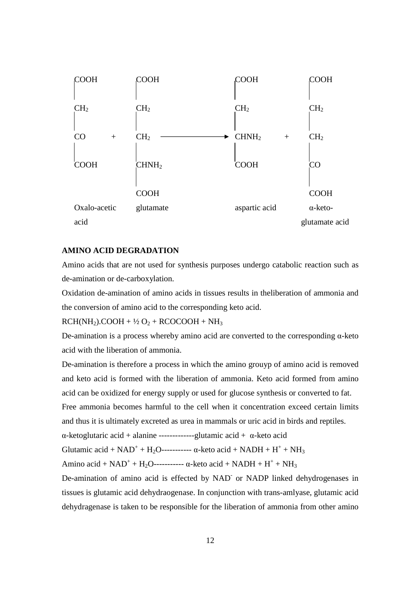

#### **AMINO ACID DEGRADATION**

Amino acids that are not used for synthesis purposes undergo catabolic reaction such as de-amination or de-carboxylation.

Oxidation de-amination of amino acids in tissues results in theliberation of ammonia and the conversion of amino acid to the corresponding keto acid.

 $RCH(NH<sub>2</sub>)$ .COOH + ½ O<sub>2</sub> + RCOCOOH + NH<sub>3</sub>

De-amination is a process whereby amino acid are converted to the corresponding α-keto acid with the liberation of ammonia.

De-amination is therefore a process in which the amino grouyp of amino acid is removed and keto acid is formed with the liberation of ammonia. Keto acid formed from amino acid can be oxidized for energy supply or used for glucose synthesis or converted to fat.

Free ammonia becomes harmful to the cell when it concentration exceed certain limits and thus it is ultimately excreted as urea in mammals or uric acid in birds and reptiles.

α-ketoglutaric acid + alanine -------------glutamic acid + α-keto acid

Glutamic acid +  $NAD^+ + H_2O$ ------------  $\alpha$ -keto acid +  $NADH + H^+ + NH_3$ 

Amino acid +  $NAD^+ + H_2O$ ------------ α-keto acid +  $NADH + H^+ + NH_3$ 

De-amination of amino acid is effected by NAD<sup>-</sup> or NADP linked dehydrogenases in tissues is glutamic acid dehydraogenase. In conjunction with trans-amlyase, glutamic acid dehydragenase is taken to be responsible for the liberation of ammonia from other amino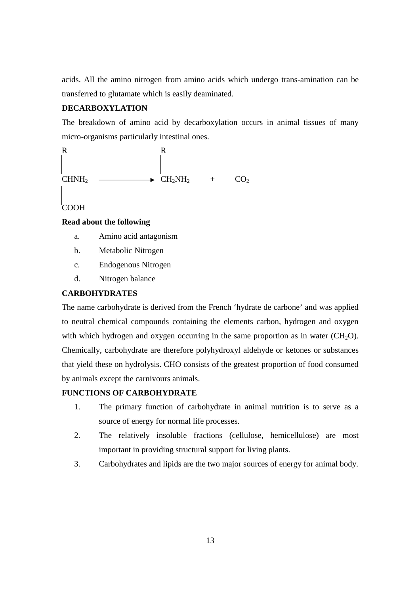acids. All the amino nitrogen from amino acids which undergo trans-amination can be transferred to glutamate which is easily deaminated.

# **DECARBOXYLATION**

The breakdown of amino acid by decarboxylation occurs in animal tissues of many micro-organisms particularly intestinal ones.



COOH

## **Read about the following**

- a. Amino acid antagonism
- b. Metabolic Nitrogen
- c. Endogenous Nitrogen
- d. Nitrogen balance

## **CARBOHYDRATES**

The name carbohydrate is derived from the French 'hydrate de carbone' and was applied to neutral chemical compounds containing the elements carbon, hydrogen and oxygen with which hydrogen and oxygen occurring in the same proportion as in water  $(CH<sub>2</sub>O)$ . Chemically, carbohydrate are therefore polyhydroxyl aldehyde or ketones or substances that yield these on hydrolysis. CHO consists of the greatest proportion of food consumed by animals except the carnivours animals.

## **FUNCTIONS OF CARBOHYDRATE**

- 1. The primary function of carbohydrate in animal nutrition is to serve as a source of energy for normal life processes.
- 2. The relatively insoluble fractions (cellulose, hemicellulose) are most important in providing structural support for living plants.
- 3. Carbohydrates and lipids are the two major sources of energy for animal body.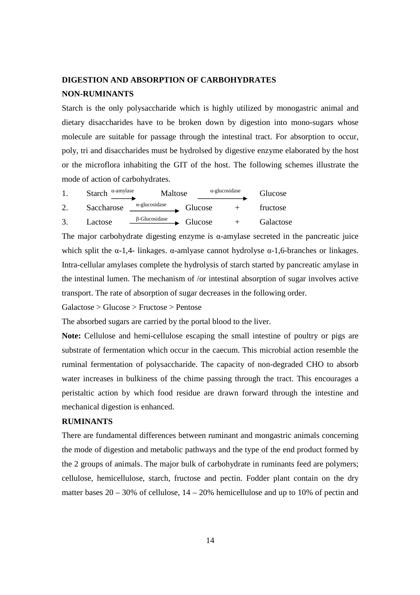# **DIGESTION AND ABSORPTION OF CARBOHYDRATES NON-RUMINANTS**

Starch is the only polysaccharide which is highly utilized by monogastric animal and dietary disaccharides have to be broken down by digestion into mono-sugars whose molecule are suitable for passage through the intestinal tract. For absorption to occur, poly, tri and disaccharides must be hydrolsed by digestive enzyme elaborated by the host or the microflora inhabiting the GIT of the host. The following schemes illustrate the mode of action of carbohydrates.

| $\alpha$ -amylase<br><b>Starch</b> | Maltose               |         | $\alpha$ -glucosidase | Glucose   |
|------------------------------------|-----------------------|---------|-----------------------|-----------|
| Saccharose                         | $\alpha$ -glucosidase | Glucose |                       | fructose  |
| Lactose                            | $\beta$ -Glucosidase  | Glucose |                       | Galactose |

The major carbohydrate digesting enzyme is α-amylase secreted in the pancreatic juice which split the  $\alpha$ -1,4- linkages.  $\alpha$ -amlyase cannot hydrolyse  $\alpha$ -1,6-branches or linkages. Intra-cellular amylases complete the hydrolysis of starch started by pancreatic amylase in the intestinal lumen. The mechanism of /or intestinal absorption of sugar involves active transport. The rate of absorption of sugar decreases in the following order.

Galactose > Glucose > Fructose > Pentose

The absorbed sugars are carried by the portal blood to the liver.

**Note:** Cellulose and hemi-cellulose escaping the small intestine of poultry or pigs are substrate of fermentation which occur in the caecum. This microbial action resemble the ruminal fermentation of polysaccharide. The capacity of non-degraded CHO to absorb water increases in bulkiness of the chime passing through the tract. This encourages a peristaltic action by which food residue are drawn forward through the intestine and mechanical digestion is enhanced.

## **RUMINANTS**

There are fundamental differences between ruminant and mongastric animals concerning the mode of digestion and metabolic pathways and the type of the end product formed by the 2 groups of animals. The major bulk of carbohydrate in ruminants feed are polymers; cellulose, hemicellulose, starch, fructose and pectin. Fodder plant contain on the dry matter bases  $20 - 30\%$  of cellulose,  $14 - 20\%$  hemicellulose and up to 10% of pectin and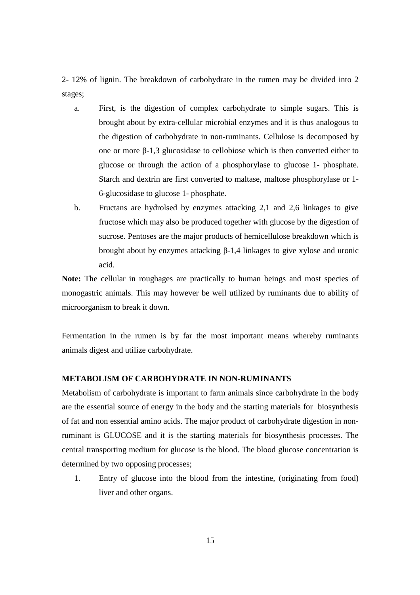2- 12% of lignin. The breakdown of carbohydrate in the rumen may be divided into 2 stages;

- a. First, is the digestion of complex carbohydrate to simple sugars. This is brought about by extra-cellular microbial enzymes and it is thus analogous to the digestion of carbohydrate in non-ruminants. Cellulose is decomposed by one or more β-1,3 glucosidase to cellobiose which is then converted either to glucose or through the action of a phosphorylase to glucose 1- phosphate. Starch and dextrin are first converted to maltase, maltose phosphorylase or 1- 6-glucosidase to glucose 1- phosphate.
- b. Fructans are hydrolsed by enzymes attacking 2,1 and 2,6 linkages to give fructose which may also be produced together with glucose by the digestion of sucrose. Pentoses are the major products of hemicellulose breakdown which is brought about by enzymes attacking β-1,4 linkages to give xylose and uronic acid.

**Note:** The cellular in roughages are practically to human beings and most species of monogastric animals. This may however be well utilized by ruminants due to ability of microorganism to break it down.

Fermentation in the rumen is by far the most important means whereby ruminants animals digest and utilize carbohydrate.

#### **METABOLISM OF CARBOHYDRATE IN NON-RUMINANTS**

Metabolism of carbohydrate is important to farm animals since carbohydrate in the body are the essential source of energy in the body and the starting materials for biosynthesis of fat and non essential amino acids. The major product of carbohydrate digestion in nonruminant is GLUCOSE and it is the starting materials for biosynthesis processes. The central transporting medium for glucose is the blood. The blood glucose concentration is determined by two opposing processes;

1. Entry of glucose into the blood from the intestine, (originating from food) liver and other organs.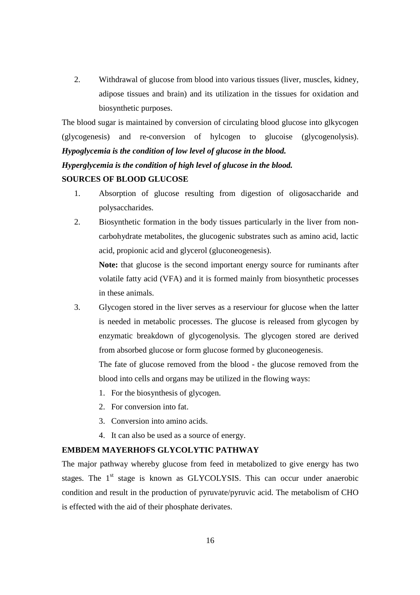2. Withdrawal of glucose from blood into various tissues (liver, muscles, kidney, adipose tissues and brain) and its utilization in the tissues for oxidation and biosynthetic purposes.

The blood sugar is maintained by conversion of circulating blood glucose into glkycogen (glycogenesis) and re-conversion of hylcogen to glucoise (glycogenolysis). *Hypoglycemia is the condition of low level of glucose in the blood.* 

*Hyperglycemia is the condition of high level of glucose in the blood.* 

#### **SOURCES OF BLOOD GLUCOSE**

- 1. Absorption of glucose resulting from digestion of oligosaccharide and polysaccharides.
- 2. Biosynthetic formation in the body tissues particularly in the liver from noncarbohydrate metabolites, the glucogenic substrates such as amino acid, lactic acid, propionic acid and glycerol (gluconeogenesis).

**Note:** that glucose is the second important energy source for ruminants after volatile fatty acid (VFA) and it is formed mainly from biosynthetic processes in these animals.

3. Glycogen stored in the liver serves as a reserviour for glucose when the latter is needed in metabolic processes. The glucose is released from glycogen by enzymatic breakdown of glycogenolysis. The glycogen stored are derived from absorbed glucose or form glucose formed by gluconeogenesis.

The fate of glucose removed from the blood - the glucose removed from the blood into cells and organs may be utilized in the flowing ways:

- 1. For the biosynthesis of glycogen.
- 2. For conversion into fat.
- 3. Conversion into amino acids.
- 4. It can also be used as a source of energy.

## **EMBDEM MAYERHOFS GLYCOLYTIC PATHWAY**

The major pathway whereby glucose from feed in metabolized to give energy has two stages. The  $1<sup>st</sup>$  stage is known as GLYCOLYSIS. This can occur under anaerobic condition and result in the production of pyruvate/pyruvic acid. The metabolism of CHO is effected with the aid of their phosphate derivates.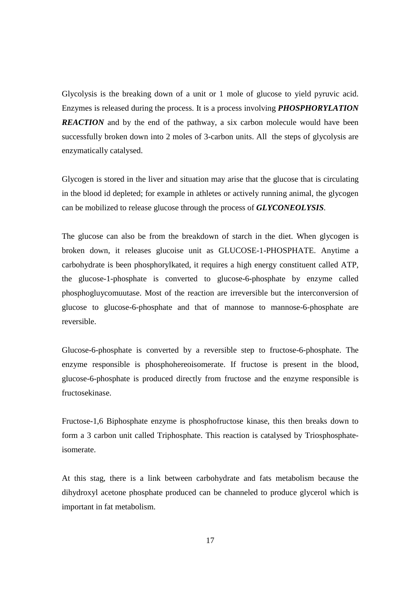Glycolysis is the breaking down of a unit or 1 mole of glucose to yield pyruvic acid. Enzymes is released during the process. It is a process involving *PHOSPHORYLATION REACTION* and by the end of the pathway, a six carbon molecule would have been successfully broken down into 2 moles of 3-carbon units. All the steps of glycolysis are enzymatically catalysed.

Glycogen is stored in the liver and situation may arise that the glucose that is circulating in the blood id depleted; for example in athletes or actively running animal, the glycogen can be mobilized to release glucose through the process of *GLYCONEOLYSIS*.

The glucose can also be from the breakdown of starch in the diet. When glycogen is broken down, it releases glucoise unit as GLUCOSE-1-PHOSPHATE. Anytime a carbohydrate is been phosphorylkated, it requires a high energy constituent called ATP, the glucose-1-phosphate is converted to glucose-6-phosphate by enzyme called phosphogluycomuutase. Most of the reaction are irreversible but the interconversion of glucose to glucose-6-phosphate and that of mannose to mannose-6-phosphate are reversible.

Glucose-6-phosphate is converted by a reversible step to fructose-6-phosphate. The enzyme responsible is phosphohereoisomerate. If fructose is present in the blood, glucose-6-phosphate is produced directly from fructose and the enzyme responsible is fructosekinase.

Fructose-1,6 Biphosphate enzyme is phosphofructose kinase, this then breaks down to form a 3 carbon unit called Triphosphate. This reaction is catalysed by Triosphosphateisomerate.

At this stag, there is a link between carbohydrate and fats metabolism because the dihydroxyl acetone phosphate produced can be channeled to produce glycerol which is important in fat metabolism.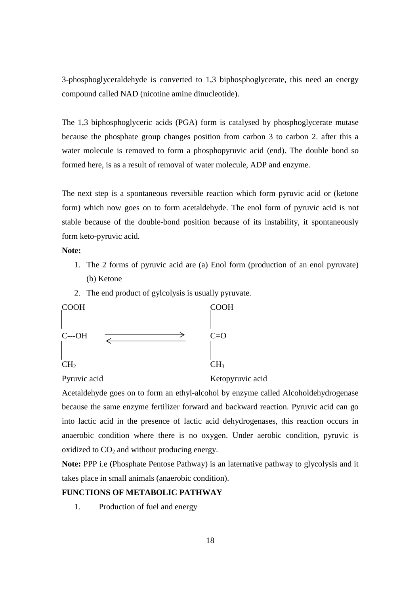3-phosphoglyceraldehyde is converted to 1,3 biphosphoglycerate, this need an energy compound called NAD (nicotine amine dinucleotide).

The 1,3 biphosphoglyceric acids (PGA) form is catalysed by phosphoglycerate mutase because the phosphate group changes position from carbon 3 to carbon 2. after this a water molecule is removed to form a phosphopyruvic acid (end). The double bond so formed here, is as a result of removal of water molecule, ADP and enzyme.

The next step is a spontaneous reversible reaction which form pyruvic acid or (ketone form) which now goes on to form acetaldehyde. The enol form of pyruvic acid is not stable because of the double-bond position because of its instability, it spontaneously form keto-pyruvic acid.

#### **Note:**

- 1. The 2 forms of pyruvic acid are (a) Enol form (production of an enol pyruvate) (b) Ketone
- 2. The end product of gylcolysis is usually pyruvate.



Pyruvic acid Ketopyruvic acid

Acetaldehyde goes on to form an ethyl-alcohol by enzyme called Alcoholdehydrogenase because the same enzyme fertilizer forward and backward reaction. Pyruvic acid can go into lactic acid in the presence of lactic acid dehydrogenases, this reaction occurs in anaerobic condition where there is no oxygen. Under aerobic condition, pyruvic is oxidized to  $CO<sub>2</sub>$  and without producing energy.

**Note:** PPP i.e (Phosphate Pentose Pathway) is an laternative pathway to glycolysis and it takes place in small animals (anaerobic condition).

# **FUNCTIONS OF METABOLIC PATHWAY**

1. Production of fuel and energy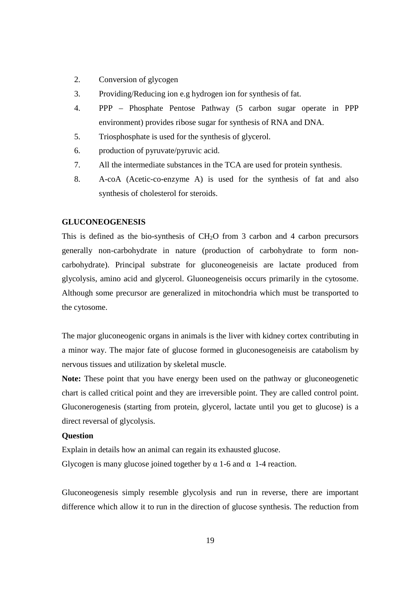- 2. Conversion of glycogen
- 3. Providing/Reducing ion e.g hydrogen ion for synthesis of fat.
- 4. PPP Phosphate Pentose Pathway (5 carbon sugar operate in PPP environment) provides ribose sugar for synthesis of RNA and DNA.
- 5. Triosphosphate is used for the synthesis of glycerol.
- 6. production of pyruvate/pyruvic acid.
- 7. All the intermediate substances in the TCA are used for protein synthesis.
- 8. A-coA (Acetic-co-enzyme A) is used for the synthesis of fat and also synthesis of cholesterol for steroids.

#### **GLUCONEOGENESIS**

This is defined as the bio-synthesis of  $CH<sub>2</sub>O$  from 3 carbon and 4 carbon precursors generally non-carbohydrate in nature (production of carbohydrate to form noncarbohydrate). Principal substrate for gluconeogeneisis are lactate produced from glycolysis, amino acid and glycerol. Gluoneogeneisis occurs primarily in the cytosome. Although some precursor are generalized in mitochondria which must be transported to the cytosome.

The major gluconeogenic organs in animals is the liver with kidney cortex contributing in a minor way. The major fate of glucose formed in gluconesogeneisis are catabolism by nervous tissues and utilization by skeletal muscle.

**Note:** These point that you have energy been used on the pathway or gluconeogenetic chart is called critical point and they are irreversible point. They are called control point. Gluconerogenesis (starting from protein, glycerol, lactate until you get to glucose) is a direct reversal of glycolysis.

#### **Question**

Explain in details how an animal can regain its exhausted glucose. Glycogen is many glucose joined together by  $\alpha$  1-6 and  $\alpha$  1-4 reaction.

Gluconeogenesis simply resemble glycolysis and run in reverse, there are important difference which allow it to run in the direction of glucose synthesis. The reduction from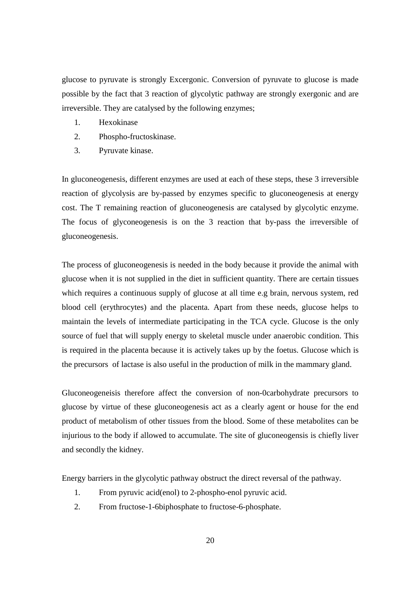glucose to pyruvate is strongly Excergonic. Conversion of pyruvate to glucose is made possible by the fact that 3 reaction of glycolytic pathway are strongly exergonic and are irreversible. They are catalysed by the following enzymes;

- 1. Hexokinase
- 2. Phospho-fructoskinase.
- 3. Pyruvate kinase.

In gluconeogenesis, different enzymes are used at each of these steps, these 3 irreversible reaction of glycolysis are by-passed by enzymes specific to gluconeogenesis at energy cost. The T remaining reaction of gluconeogenesis are catalysed by glycolytic enzyme. The focus of glyconeogenesis is on the 3 reaction that by-pass the irreversible of gluconeogenesis.

The process of gluconeogenesis is needed in the body because it provide the animal with glucose when it is not supplied in the diet in sufficient quantity. There are certain tissues which requires a continuous supply of glucose at all time e.g brain, nervous system, red blood cell (erythrocytes) and the placenta. Apart from these needs, glucose helps to maintain the levels of intermediate participating in the TCA cycle. Glucose is the only source of fuel that will supply energy to skeletal muscle under anaerobic condition. This is required in the placenta because it is actively takes up by the foetus. Glucose which is the precursors of lactase is also useful in the production of milk in the mammary gland.

Gluconeogeneisis therefore affect the conversion of non-0carbohydrate precursors to glucose by virtue of these gluconeogenesis act as a clearly agent or house for the end product of metabolism of other tissues from the blood. Some of these metabolites can be injurious to the body if allowed to accumulate. The site of gluconeogensis is chiefly liver and secondly the kidney.

Energy barriers in the glycolytic pathway obstruct the direct reversal of the pathway.

- 1. From pyruvic acid(enol) to 2-phospho-enol pyruvic acid.
- 2. From fructose-1-6biphosphate to fructose-6-phosphate.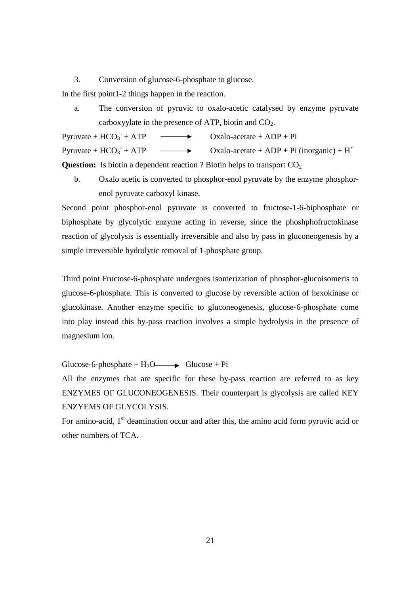3. Conversion of glucose-6-phosphate to glucose.

In the first point1-2 things happen in the reaction.

a. The conversion of pyruvic to oxalo-acetic catalysed by enzyme pyruvate carboxyylate in the presence of ATP, biotin and  $CO<sub>2</sub>$ .

Pyruvate +  $HCO<sub>3</sub>$ <sup>-</sup>  $\rightarrow$  Oxalo-acetate + ADP + Pi Pyruvate +  $HCO<sub>3</sub>$ <sup>-</sup>  $\rightarrow$  Oxalo-acetate + ADP + Pi (inorganic) + H<sup>+</sup> **Question:** Is biotin a dependent reaction ? Biotin helps to transport CO<sub>2</sub>

b. Oxalo acetic is converted to phosphor-enol pyruvate by the enzyme phosphorenol pyruvate carboxyl kinase.

Second point phosphor-enol pyruvate is converted to fructose-1-6-biphosphate or biphosphate by glycolytic enzyme acting in reverse, since the phoshphofructokinase reaction of glycolysis is essentially irreversible and also by pass in gluconeogenesis by a simple irreversible hydrolytic removal of 1-phosphate group.

Third point Fructose-6-phosphate undergoes isomerization of phosphor-glucoisomeris to glucose-6-phosphate. This is converted to glucose by reversible action of hexokinase or glucokinase. Another enzyme specific to gluconeogenesis, glucose-6-phosphate come into play instead this by-pass reaction involves a simple hydrolysis in the presence of magnesium ion.

Glucose-6-phosphate +  $H_2O \longrightarrow$  Glucose + Pi

All the enzymes that are specific for these by-pass reaction are referred to as key ENZYMES OF GLUCONEOGENESIS. Their counterpart is glycolysis are called KEY ENZYEMS OF GLYCOLYSIS.

For amino-acid,  $1<sup>st</sup>$  deamination occur and after this, the amino acid form pyruvic acid or other numbers of TCA.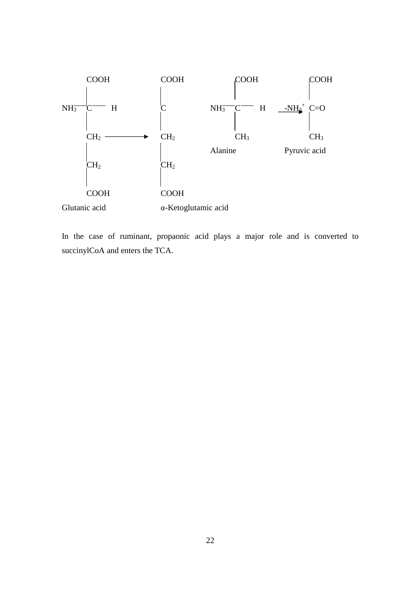

In the case of ruminant, propaonic acid plays a major role and is converted to succinylCoA and enters the TCA.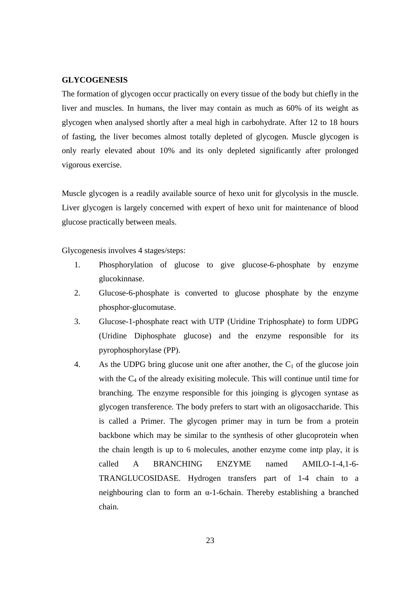#### **GLYCOGENESIS**

The formation of glycogen occur practically on every tissue of the body but chiefly in the liver and muscles. In humans, the liver may contain as much as 60% of its weight as glycogen when analysed shortly after a meal high in carbohydrate. After 12 to 18 hours of fasting, the liver becomes almost totally depleted of glycogen. Muscle glycogen is only rearly elevated about 10% and its only depleted significantly after prolonged vigorous exercise.

Muscle glycogen is a readily available source of hexo unit for glycolysis in the muscle. Liver glycogen is largely concerned with expert of hexo unit for maintenance of blood glucose practically between meals.

Glycogenesis involves 4 stages/steps:

- 1. Phosphorylation of glucose to give glucose-6-phosphate by enzyme glucokinnase.
- 2. Glucose-6-phosphate is converted to glucose phosphate by the enzyme phosphor-glucomutase.
- 3. Glucose-1-phosphate react with UTP (Uridine Triphosphate) to form UDPG (Uridine Diphosphate glucose) and the enzyme responsible for its pyrophosphorylase (PP).
- 4. As the UDPG bring glucose unit one after another, the  $C_1$  of the glucose join with the  $C_4$  of the already exisiting molecule. This will continue until time for branching. The enzyme responsible for this joinging is glycogen syntase as glycogen transference. The body prefers to start with an oligosaccharide. This is called a Primer. The glycogen primer may in turn be from a protein backbone which may be similar to the synthesis of other glucoprotein when the chain length is up to 6 molecules, another enzyme come intp play, it is called A BRANCHING ENZYME named AMILO-1-4,1-6- TRANGLUCOSIDASE. Hydrogen transfers part of 1-4 chain to a neighbouring clan to form an α-1-6chain. Thereby establishing a branched chain.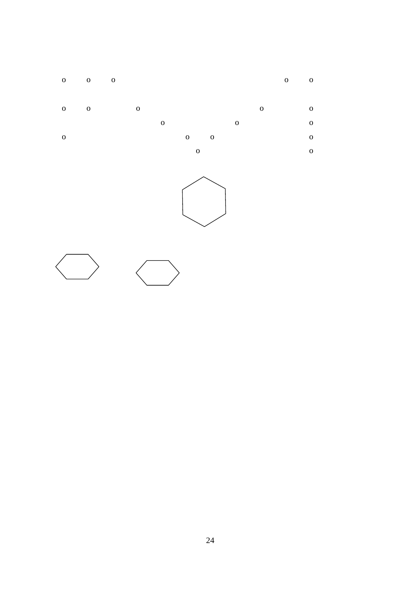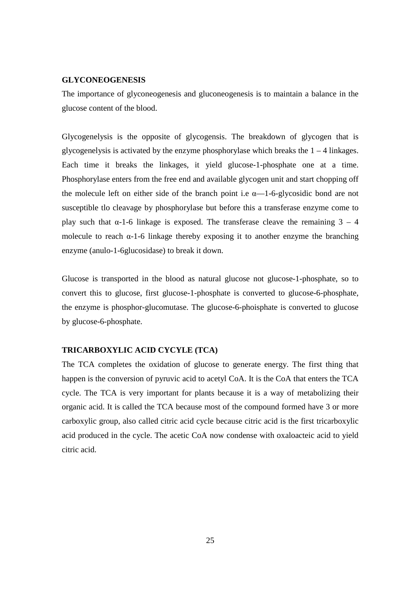#### **GLYCONEOGENESIS**

The importance of glyconeogenesis and gluconeogenesis is to maintain a balance in the glucose content of the blood.

Glycogenelysis is the opposite of glycogensis. The breakdown of glycogen that is glycogenelysis is activated by the enzyme phosphorylase which breaks the  $1 - 4$  linkages. Each time it breaks the linkages, it yield glucose-1-phosphate one at a time. Phosphorylase enters from the free end and available glycogen unit and start chopping off the molecule left on either side of the branch point i.e  $\alpha$ —1-6-glycosidic bond are not susceptible tlo cleavage by phosphorylase but before this a transferase enzyme come to play such that  $\alpha$ -1-6 linkage is exposed. The transferase cleave the remaining 3 – 4 molecule to reach  $\alpha$ -1-6 linkage thereby exposing it to another enzyme the branching enzyme (anulo-1-6glucosidase) to break it down.

Glucose is transported in the blood as natural glucose not glucose-1-phosphate, so to convert this to glucose, first glucose-1-phosphate is converted to glucose-6-phosphate, the enzyme is phosphor-glucomutase. The glucose-6-phoisphate is converted to glucose by glucose-6-phosphate.

### **TRICARBOXYLIC ACID CYCYLE (TCA)**

The TCA completes the oxidation of glucose to generate energy. The first thing that happen is the conversion of pyruvic acid to acetyl CoA. It is the CoA that enters the TCA cycle. The TCA is very important for plants because it is a way of metabolizing their organic acid. It is called the TCA because most of the compound formed have 3 or more carboxylic group, also called citric acid cycle because citric acid is the first tricarboxylic acid produced in the cycle. The acetic CoA now condense with oxaloacteic acid to yield citric acid.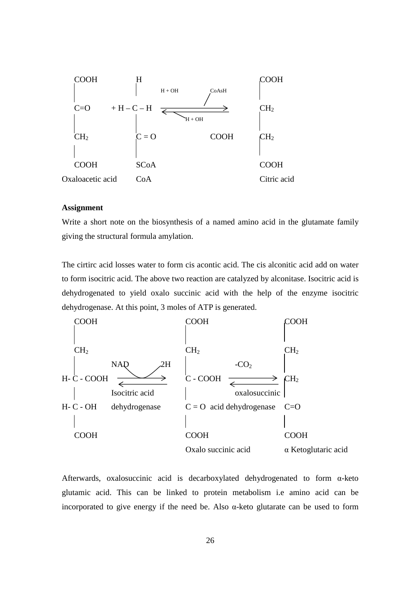

#### **Assignment**

Write a short note on the biosynthesis of a named amino acid in the glutamate family giving the structural formula amylation.

The cirtirc acid losses water to form cis acontic acid. The cis alconitic acid add on water to form isocitric acid. The above two reaction are catalyzed by alconitase. Isocitric acid is dehydrogenated to yield oxalo succinic acid with the help of the enzyme isocitric dehydrogenase. At this point, 3 moles of ATP is generated.



Afterwards, oxalosuccinic acid is decarboxylated dehydrogenated to form α-keto glutamic acid. This can be linked to protein metabolism i.e amino acid can be incorporated to give energy if the need be. Also  $\alpha$ -keto glutarate can be used to form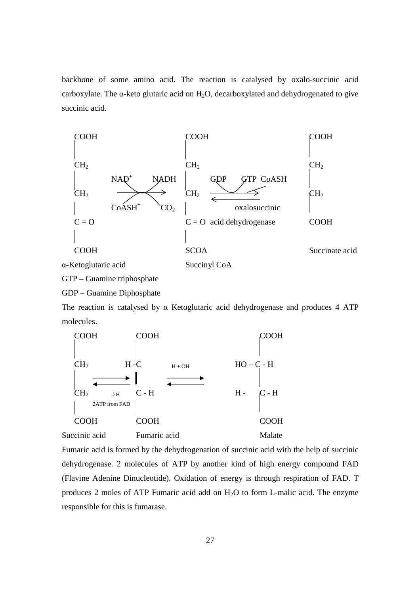backbone of some amino acid. The reaction is catalysed by oxalo-succinic acid carboxylate. The  $\alpha$ -keto glutaric acid on H<sub>2</sub>O, decarboxylated and dehydrogenated to give succinic acid.



GTP – Guamine triphosphate

GDP – Guamine Diphosphate

The reaction is catalysed by  $\alpha$  Ketoglutaric acid dehydrogenase and produces 4 ATP molecules.



Fumaric acid is formed by the dehydrogenation of succinic acid with the help of succinic dehydrogenase. 2 molecules of ATP by another kind of high energy compound FAD (Flavine Adenine Dinucleotide). Oxidation of energy is through respiration of FAD. T produces 2 moles of ATP Fumaric acid add on  $H_2O$  to form L-malic acid. The enzyme responsible for this is fumarase.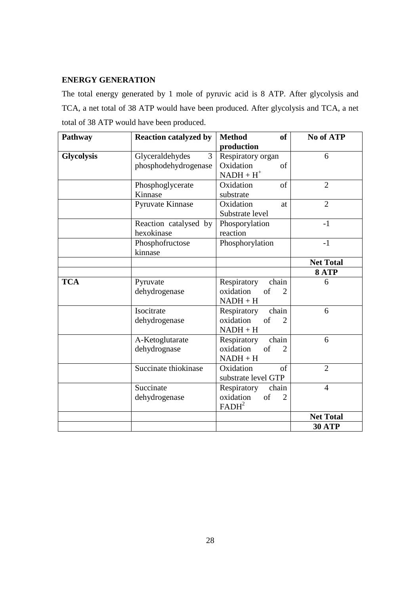# **ENERGY GENERATION**

The total energy generated by 1 mole of pyruvic acid is 8 ATP. After glycolysis and TCA, a net total of 38 ATP would have been produced. After glycolysis and TCA, a net total of 38 ATP would have been produced.

| Pathway           | <b>Reaction catalyzed by</b> | <b>Method</b><br>of               | No of ATP        |
|-------------------|------------------------------|-----------------------------------|------------------|
|                   |                              | production                        |                  |
| <b>Glycolysis</b> | 3<br>Glyceraldehydes         | Respiratory organ                 | 6                |
|                   | phosphodehydrogenase         | Oxidation<br>of                   |                  |
|                   |                              | $NADH + H+$                       |                  |
|                   | Phosphoglycerate             | Oxidation<br>of                   | $\overline{2}$   |
|                   | Kinnase                      | substrate                         |                  |
|                   | Pyruvate Kinnase             | Oxidation<br>at                   | $\overline{2}$   |
|                   |                              | Substrate level                   |                  |
|                   | Reaction catalysed by        | Phosporylation                    | $-1$             |
|                   | hexokinase                   | reaction                          |                  |
|                   | Phosphofructose              | Phosphorylation                   | $-1$             |
|                   | kinnase                      |                                   |                  |
|                   |                              |                                   | <b>Net Total</b> |
|                   |                              |                                   | 8 ATP            |
| <b>TCA</b>        | Pyruvate                     | Respiratory<br>chain              | 6                |
|                   | dehydrogenase                | oxidation<br>of<br>2              |                  |
|                   |                              | $NADH + H$                        |                  |
|                   | Isocitrate                   | chain<br>Respiratory              | 6                |
|                   | dehydrogenase                | oxidation<br>of                   |                  |
|                   |                              | $NADH + H$                        |                  |
|                   | A-Ketoglutarate              | chain<br>Respiratory              | 6                |
|                   | dehydrognase                 | oxidation<br>of<br>$\mathfrak{D}$ |                  |
|                   |                              | $NADH + H$                        |                  |
|                   | Succinate thiokinase         | $\sigma$ f<br>Oxidation           | $\overline{2}$   |
|                   |                              | substrate level GTP               |                  |
|                   | Succinate                    | Respiratory<br>chain              | 4                |
|                   | dehydrogenase                | oxidation<br>of<br>$\mathfrak{D}$ |                  |
|                   |                              | FADH <sup>2</sup>                 |                  |
|                   |                              |                                   | <b>Net Total</b> |
|                   |                              |                                   | <b>30 ATP</b>    |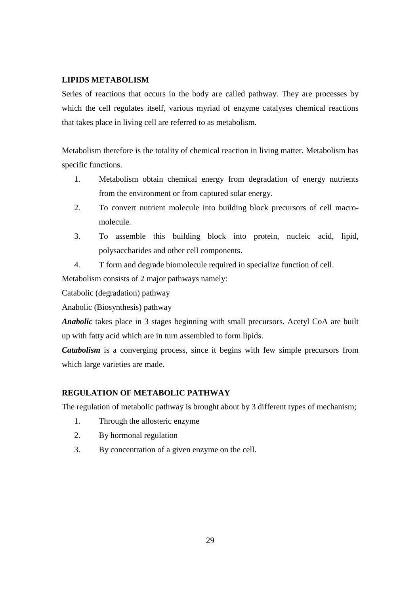# **LIPIDS METABOLISM**

Series of reactions that occurs in the body are called pathway. They are processes by which the cell regulates itself, various myriad of enzyme catalyses chemical reactions that takes place in living cell are referred to as metabolism.

Metabolism therefore is the totality of chemical reaction in living matter. Metabolism has specific functions.

- 1. Metabolism obtain chemical energy from degradation of energy nutrients from the environment or from captured solar energy.
- 2. To convert nutrient molecule into building block precursors of cell macromolecule.
- 3. To assemble this building block into protein, nucleic acid, lipid, polysaccharides and other cell components.
- 4. T form and degrade biomolecule required in specialize function of cell.

Metabolism consists of 2 major pathways namely:

Catabolic (degradation) pathway

Anabolic (Biosynthesis) pathway

*Anabolic* takes place in 3 stages beginning with small precursors. Acetyl CoA are built up with fatty acid which are in turn assembled to form lipids.

*Catabolism* is a converging process, since it begins with few simple precursors from which large varieties are made.

# **REGULATION OF METABOLIC PATHWAY**

The regulation of metabolic pathway is brought about by 3 different types of mechanism;

- 1. Through the allosteric enzyme
- 2. By hormonal regulation
- 3. By concentration of a given enzyme on the cell.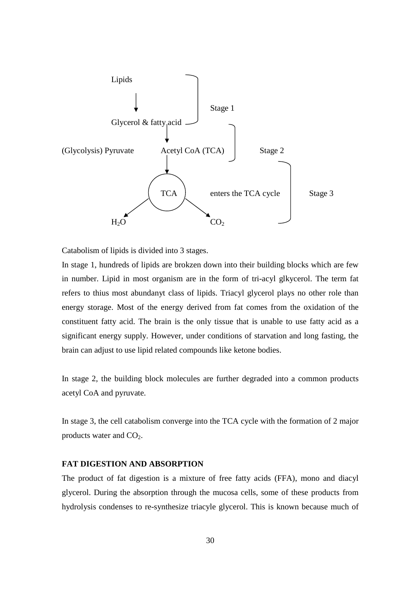

Catabolism of lipids is divided into 3 stages.

In stage 1, hundreds of lipids are brokzen down into their building blocks which are few in number. Lipid in most organism are in the form of tri-acyl glkycerol. The term fat refers to thius most abundanyt class of lipids. Triacyl glycerol plays no other role than energy storage. Most of the energy derived from fat comes from the oxidation of the constituent fatty acid. The brain is the only tissue that is unable to use fatty acid as a significant energy supply. However, under conditions of starvation and long fasting, the brain can adjust to use lipid related compounds like ketone bodies.

In stage 2, the building block molecules are further degraded into a common products acetyl CoA and pyruvate.

In stage 3, the cell catabolism converge into the TCA cycle with the formation of 2 major products water and  $CO<sub>2</sub>$ .

### **FAT DIGESTION AND ABSORPTION**

The product of fat digestion is a mixture of free fatty acids (FFA), mono and diacyl glycerol. During the absorption through the mucosa cells, some of these products from hydrolysis condenses to re-synthesize triacyle glycerol. This is known because much of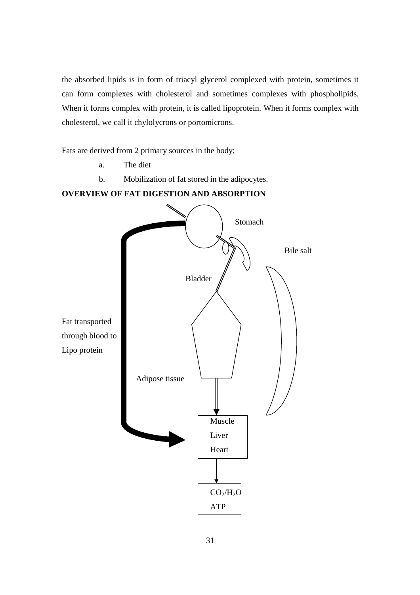the absorbed lipids is in form of triacyl glycerol complexed with protein, sometimes it can form complexes with cholesterol and sometimes complexes with phospholipids. When it forms complex with protein, it is called lipoprotein. When it forms complex with cholesterol, we call it chylolycrons or portomicrons.

Fats are derived from 2 primary sources in the body;

- a. The diet
- b. Mobilization of fat stored in the adipocytes.

# **OVERVIEW OF FAT DIGESTION AND ABSORPTION**

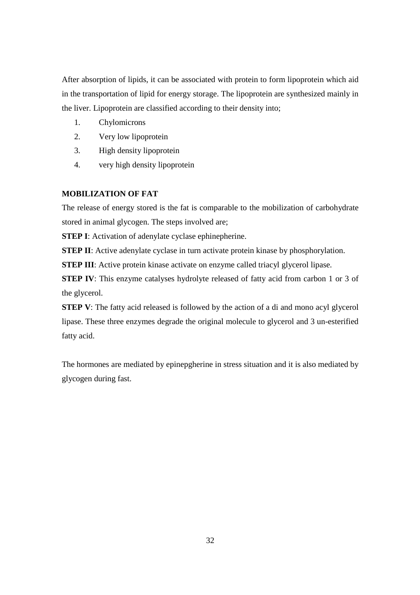After absorption of lipids, it can be associated with protein to form lipoprotein which aid in the transportation of lipid for energy storage. The lipoprotein are synthesized mainly in the liver. Lipoprotein are classified according to their density into;

- 1. Chylomicrons
- 2. Very low lipoprotein
- 3. High density lipoprotein
- 4. very high density lipoprotein

# **MOBILIZATION OF FAT**

The release of energy stored is the fat is comparable to the mobilization of carbohydrate stored in animal glycogen. The steps involved are;

**STEP I:** Activation of adenylate cyclase ephinepherine.

**STEP II**: Active adenylate cyclase in turn activate protein kinase by phosphorylation.

**STEP III**: Active protein kinase activate on enzyme called triacyl glycerol lipase.

**STEP IV**: This enzyme catalyses hydrolyte released of fatty acid from carbon 1 or 3 of the glycerol.

**STEP V**: The fatty acid released is followed by the action of a di and mono acyl glycerol lipase. These three enzymes degrade the original molecule to glycerol and 3 un-esterified fatty acid.

The hormones are mediated by epinepgherine in stress situation and it is also mediated by glycogen during fast.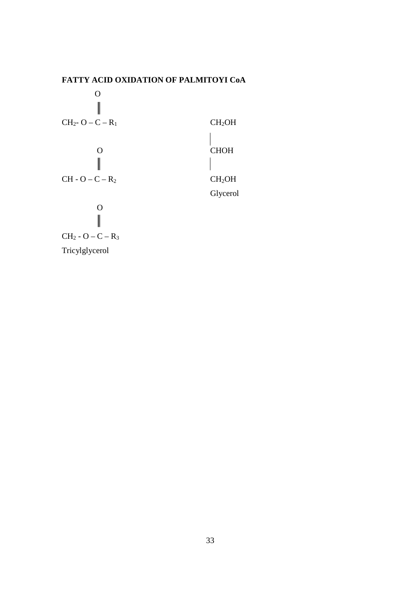

Tricylglycerol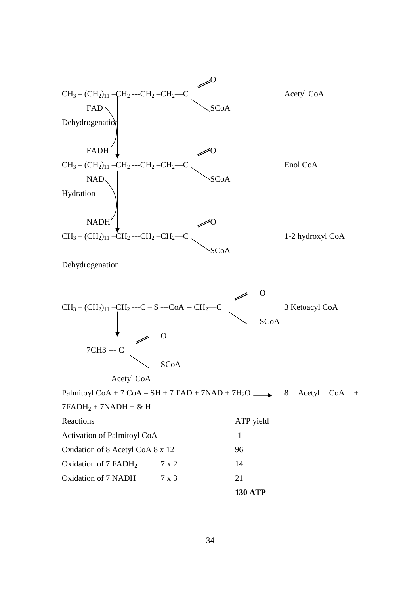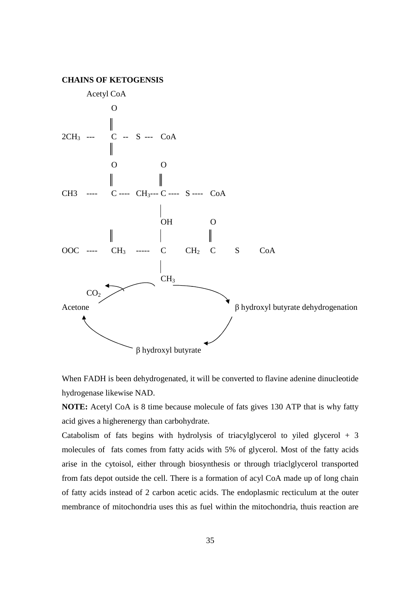



When FADH is been dehydrogenated, it will be converted to flavine adenine dinucleotide hydrogenase likewise NAD.

**NOTE:** Acetyl CoA is 8 time because molecule of fats gives 130 ATP that is why fatty acid gives a higherenergy than carbohydrate.

Catabolism of fats begins with hydrolysis of triacylglycerol to yiled glycerol  $+3$ molecules of fats comes from fatty acids with 5% of glycerol. Most of the fatty acids arise in the cytoisol, either through biosynthesis or through triaclglycerol transported from fats depot outside the cell. There is a formation of acyl CoA made up of long chain of fatty acids instead of 2 carbon acetic acids. The endoplasmic recticulum at the outer membrance of mitochondria uses this as fuel within the mitochondria, thuis reaction are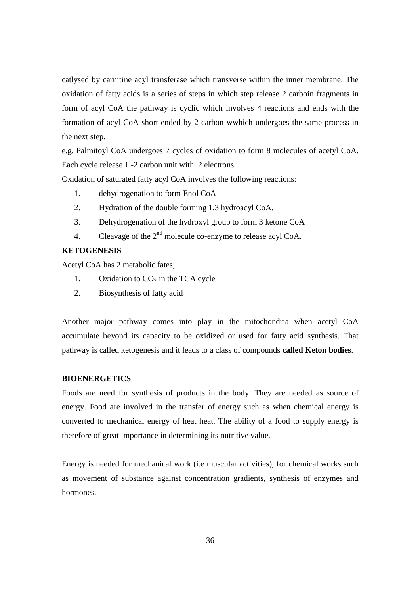catlysed by carnitine acyl transferase which transverse within the inner membrane. The oxidation of fatty acids is a series of steps in which step release 2 carboin fragments in form of acyl CoA the pathway is cyclic which involves 4 reactions and ends with the formation of acyl CoA short ended by 2 carbon wwhich undergoes the same process in the next step.

e.g. Palmitoyl CoA undergoes 7 cycles of oxidation to form 8 molecules of acetyl CoA. Each cycle release 1 -2 carbon unit with 2 electrons.

Oxidation of saturated fatty acyl CoA involves the following reactions:

- 1. dehydrogenation to form Enol CoA
- 2. Hydration of the double forming 1,3 hydroacyl CoA.
- 3. Dehydrogenation of the hydroxyl group to form 3 ketone CoA
- 4. Cleavage of the  $2<sup>nd</sup>$  molecule co-enzyme to release acyl CoA.

## **KETOGENESIS**

Acetyl CoA has 2 metabolic fates;

- 1. Oxidation to  $CO<sub>2</sub>$  in the TCA cycle
- 2. Biosynthesis of fatty acid

Another major pathway comes into play in the mitochondria when acetyl CoA accumulate beyond its capacity to be oxidized or used for fatty acid synthesis. That pathway is called ketogenesis and it leads to a class of compounds **called Keton bodies**.

#### **BIOENERGETICS**

Foods are need for synthesis of products in the body. They are needed as source of energy. Food are involved in the transfer of energy such as when chemical energy is converted to mechanical energy of heat heat. The ability of a food to supply energy is therefore of great importance in determining its nutritive value.

Energy is needed for mechanical work (i.e muscular activities), for chemical works such as movement of substance against concentration gradients, synthesis of enzymes and hormones.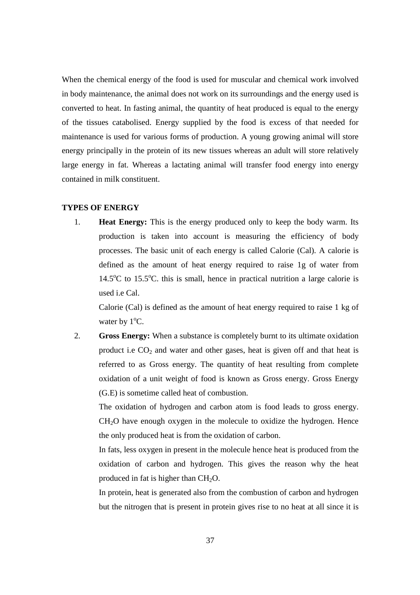When the chemical energy of the food is used for muscular and chemical work involved in body maintenance, the animal does not work on its surroundings and the energy used is converted to heat. In fasting animal, the quantity of heat produced is equal to the energy of the tissues catabolised. Energy supplied by the food is excess of that needed for maintenance is used for various forms of production. A young growing animal will store energy principally in the protein of its new tissues whereas an adult will store relatively large energy in fat. Whereas a lactating animal will transfer food energy into energy contained in milk constituent.

## **TYPES OF ENERGY**

1. **Heat Energy:** This is the energy produced only to keep the body warm. Its production is taken into account is measuring the efficiency of body processes. The basic unit of each energy is called Calorie (Cal). A calorie is defined as the amount of heat energy required to raise 1g of water from  $14.5^{\circ}$ C to 15.5<sup>o</sup>C. this is small, hence in practical nutrition a large calorie is used i.e Cal.

Calorie (Cal) is defined as the amount of heat energy required to raise 1 kg of water by  $1^{\circ}$ C.

2. **Gross Energy:** When a substance is completely burnt to its ultimate oxidation product i.e  $CO<sub>2</sub>$  and water and other gases, heat is given off and that heat is referred to as Gross energy. The quantity of heat resulting from complete oxidation of a unit weight of food is known as Gross energy. Gross Energy (G.E) is sometime called heat of combustion.

The oxidation of hydrogen and carbon atom is food leads to gross energy.  $CH<sub>2</sub>O$  have enough oxygen in the molecule to oxidize the hydrogen. Hence the only produced heat is from the oxidation of carbon.

In fats, less oxygen in present in the molecule hence heat is produced from the oxidation of carbon and hydrogen. This gives the reason why the heat produced in fat is higher than  $CH<sub>2</sub>O$ .

In protein, heat is generated also from the combustion of carbon and hydrogen but the nitrogen that is present in protein gives rise to no heat at all since it is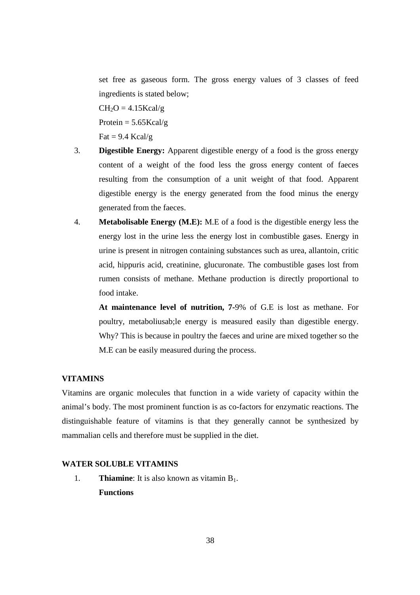set free as gaseous form. The gross energy values of 3 classes of feed ingredients is stated below;

 $CH<sub>2</sub>O = 4.15Kcal/g$ 

Protein  $= 5.65$ Kcal/g

Fat =  $9.4$  Kcal/g

- 3. **Digestible Energy:** Apparent digestible energy of a food is the gross energy content of a weight of the food less the gross energy content of faeces resulting from the consumption of a unit weight of that food. Apparent digestible energy is the energy generated from the food minus the energy generated from the faeces.
- 4. **Metabolisable Energy (M.E):** M.E of a food is the digestible energy less the energy lost in the urine less the energy lost in combustible gases. Energy in urine is present in nitrogen containing substances such as urea, allantoin, critic acid, hippuris acid, creatinine, glucuronate. The combustible gases lost from rumen consists of methane. Methane production is directly proportional to food intake.

**At maintenance level of nutrition, 7-**9% of G.E is lost as methane. For poultry, metaboliusab;le energy is measured easily than digestible energy. Why? This is because in poultry the faeces and urine are mixed together so the M.E can be easily measured during the process.

# **VITAMINS**

Vitamins are organic molecules that function in a wide variety of capacity within the animal's body. The most prominent function is as co-factors for enzymatic reactions. The distinguishable feature of vitamins is that they generally cannot be synthesized by mammalian cells and therefore must be supplied in the diet.

# **WATER SOLUBLE VITAMINS**

1. **Thiamine**: It is also known as vitamin B<sub>1</sub>. **Functions**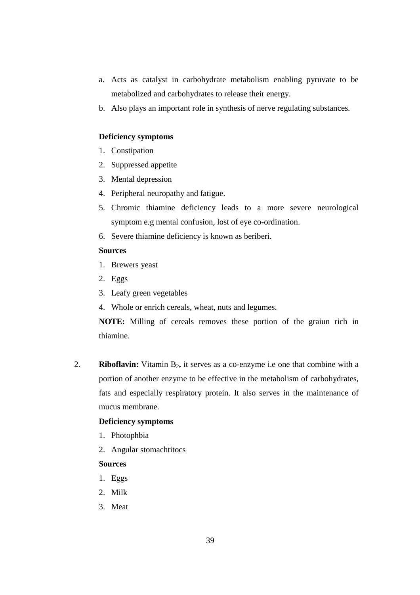- a. Acts as catalyst in carbohydrate metabolism enabling pyruvate to be metabolized and carbohydrates to release their energy.
- b. Also plays an important role in synthesis of nerve regulating substances.

## **Deficiency symptoms**

- 1. Constipation
- 2. Suppressed appetite
- 3. Mental depression
- 4. Peripheral neuropathy and fatigue.
- 5. Chromic thiamine deficiency leads to a more severe neurological symptom e.g mental confusion, lost of eye co-ordination.
- 6. Severe thiamine deficiency is known as beriberi.

## **Sources**

- 1. Brewers yeast
- 2. Eggs
- 3. Leafy green vegetables
- 4. Whole or enrich cereals, wheat, nuts and legumes.

**NOTE:** Milling of cereals removes these portion of the graiun rich in thiamine.

2. **Riboflavin:** Vitamin B<sub>2</sub>, it serves as a co-enzyme i.e one that combine with a portion of another enzyme to be effective in the metabolism of carbohydrates, fats and especially respiratory protein. It also serves in the maintenance of mucus membrane.

#### **Deficiency symptoms**

- 1. Photophbia
- 2. Angular stomachtitocs

## **Sources**

- 1. Eggs
- 2. Milk
- 3. Meat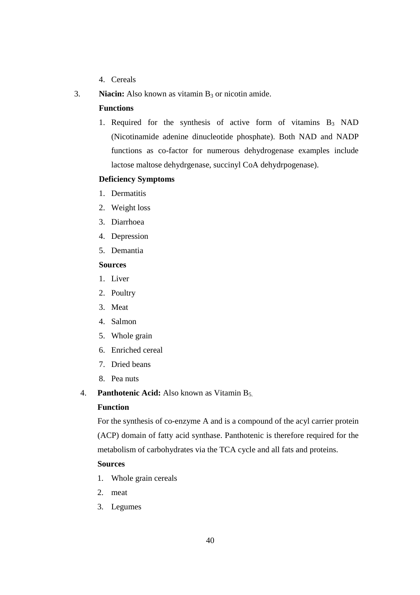- 4. Cereals
- 3. **Niacin:** Also known as vitamin  $B_3$  or nicotin amide.

## **Functions**

1. Required for the synthesis of active form of vitamins  $B_3$  NAD (Nicotinamide adenine dinucleotide phosphate). Both NAD and NADP functions as co-factor for numerous dehydrogenase examples include lactose maltose dehydrgenase, succinyl CoA dehydrpogenase).

## **Deficiency Symptoms**

- 1. Dermatitis
- 2. Weight loss
- 3. Diarrhoea
- 4. Depression
- 5. Demantia

## **Sources**

- 1. Liver
- 2. Poultry
- 3. Meat
- 4. Salmon
- 5. Whole grain
- 6. Enriched cereal
- 7. Dried beans
- 8. Pea nuts
- 4. **Panthotenic Acid:** Also known as Vitamin B<sub>5.</sub>

## **Function**

For the synthesis of co-enzyme A and is a compound of the acyl carrier protein (ACP) domain of fatty acid synthase. Panthotenic is therefore required for the metabolism of carbohydrates via the TCA cycle and all fats and proteins.

## **Sources**

- 1. Whole grain cereals
- 2. meat
- 3. Legumes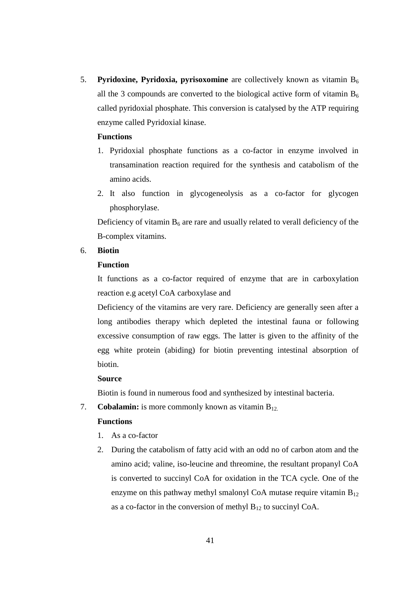5. **Pyridoxine, Pyridoxia, pyrisoxomine** are collectively known as vitamin B<sup>6</sup> all the 3 compounds are converted to the biological active form of vitamin  $B_6$ called pyridoxial phosphate. This conversion is catalysed by the ATP requiring enzyme called Pyridoxial kinase.

## **Functions**

- 1. Pyridoxial phosphate functions as a co-factor in enzyme involved in transamination reaction required for the synthesis and catabolism of the amino acids.
- 2. It also function in glycogeneolysis as a co-factor for glycogen phosphorylase.

Deficiency of vitamin  $B_6$  are rare and usually related to verall deficiency of the B-complex vitamins.

## 6. **Biotin**

## **Function**

It functions as a co-factor required of enzyme that are in carboxylation reaction e.g acetyl CoA carboxylase and

 Deficiency of the vitamins are very rare. Deficiency are generally seen after a long antibodies therapy which depleted the intestinal fauna or following excessive consumption of raw eggs. The latter is given to the affinity of the egg white protein (abiding) for biotin preventing intestinal absorption of biotin.

#### **Source**

Biotin is found in numerous food and synthesized by intestinal bacteria.

7. **Cobalamin:** is more commonly known as vitamin B<sub>12.</sub>

#### **Functions**

- 1. As a co-factor
- 2. During the catabolism of fatty acid with an odd no of carbon atom and the amino acid; valine, iso-leucine and threomine, the resultant propanyl CoA is converted to succinyl CoA for oxidation in the TCA cycle. One of the enzyme on this pathway methyl smalonyl CoA mutase require vitamin  $B_{12}$ as a co-factor in the conversion of methyl  $B_{12}$  to succinyl CoA.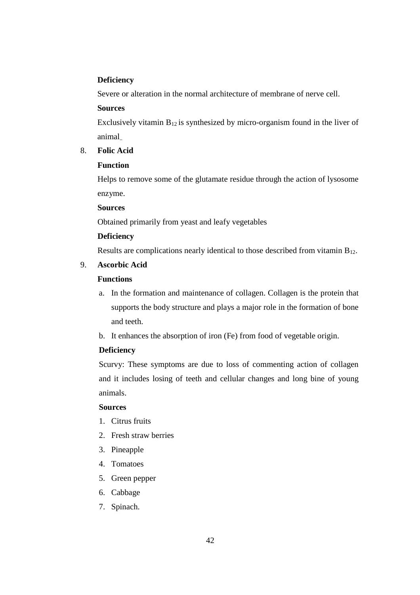## **Deficiency**

Severe or alteration in the normal architecture of membrane of nerve cell.

#### **Sources**

Exclusively vitamin  $B_{12}$  is synthesized by micro-organism found in the liver of animal..

# 8. **Folic Acid**

## **Function**

Helps to remove some of the glutamate residue through the action of lysosome enzyme.

#### **Sources**

Obtained primarily from yeast and leafy vegetables

## **Deficiency**

Results are complications nearly identical to those described from vitamin  $B_{12}$ .

# 9. **Ascorbic Acid**

# **Functions**

- a. In the formation and maintenance of collagen. Collagen is the protein that supports the body structure and plays a major role in the formation of bone and teeth.
- b. It enhances the absorption of iron (Fe) from food of vegetable origin.

## **Deficiency**

Scurvy: These symptoms are due to loss of commenting action of collagen and it includes losing of teeth and cellular changes and long bine of young animals.

### **Sources**

- 1. Citrus fruits
- 2. Fresh straw berries
- 3. Pineapple
- 4. Tomatoes
- 5. Green pepper
- 6. Cabbage
- 7. Spinach.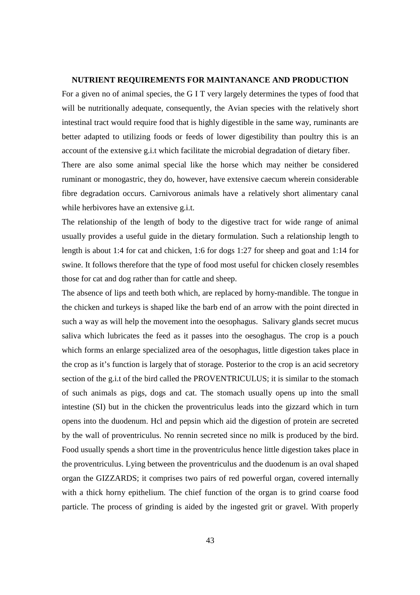#### **NUTRIENT REQUIREMENTS FOR MAINTANANCE AND PRODUCTION**

For a given no of animal species, the G I T very largely determines the types of food that will be nutritionally adequate, consequently, the Avian species with the relatively short intestinal tract would require food that is highly digestible in the same way, ruminants are better adapted to utilizing foods or feeds of lower digestibility than poultry this is an account of the extensive g.i.t which facilitate the microbial degradation of dietary fiber. There are also some animal special like the horse which may neither be considered

ruminant or monogastric, they do, however, have extensive caecum wherein considerable fibre degradation occurs. Carnivorous animals have a relatively short alimentary canal while herbivores have an extensive g.i.t.

The relationship of the length of body to the digestive tract for wide range of animal usually provides a useful guide in the dietary formulation. Such a relationship length to length is about 1:4 for cat and chicken, 1:6 for dogs 1:27 for sheep and goat and 1:14 for swine. It follows therefore that the type of food most useful for chicken closely resembles those for cat and dog rather than for cattle and sheep.

The absence of lips and teeth both which, are replaced by horny-mandible. The tongue in the chicken and turkeys is shaped like the barb end of an arrow with the point directed in such a way as will help the movement into the oesophagus. Salivary glands secret mucus saliva which lubricates the feed as it passes into the oesoghagus. The crop is a pouch which forms an enlarge specialized area of the oesophagus, little digestion takes place in the crop as it's function is largely that of storage. Posterior to the crop is an acid secretory section of the g.i.t of the bird called the PROVENTRICULUS; it is similar to the stomach of such animals as pigs, dogs and cat. The stomach usually opens up into the small intestine (SI) but in the chicken the proventriculus leads into the gizzard which in turn opens into the duodenum. Hcl and pepsin which aid the digestion of protein are secreted by the wall of proventriculus. No rennin secreted since no milk is produced by the bird. Food usually spends a short time in the proventriculus hence little digestion takes place in the proventriculus. Lying between the proventriculus and the duodenum is an oval shaped organ the GIZZARDS; it comprises two pairs of red powerful organ, covered internally with a thick horny epithelium. The chief function of the organ is to grind coarse food particle. The process of grinding is aided by the ingested grit or gravel. With properly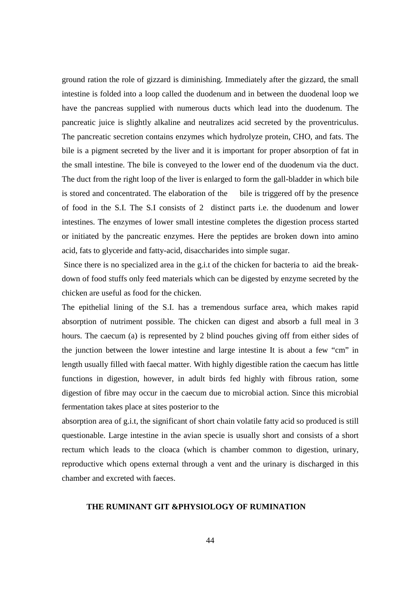ground ration the role of gizzard is diminishing. Immediately after the gizzard, the small intestine is folded into a loop called the duodenum and in between the duodenal loop we have the pancreas supplied with numerous ducts which lead into the duodenum. The pancreatic juice is slightly alkaline and neutralizes acid secreted by the proventriculus. The pancreatic secretion contains enzymes which hydrolyze protein, CHO, and fats. The bile is a pigment secreted by the liver and it is important for proper absorption of fat in the small intestine. The bile is conveyed to the lower end of the duodenum via the duct. The duct from the right loop of the liver is enlarged to form the gall-bladder in which bile is stored and concentrated. The elaboration of the bile is triggered off by the presence of food in the S.I. The S.I consists of 2 distinct parts i.e. the duodenum and lower intestines. The enzymes of lower small intestine completes the digestion process started or initiated by the pancreatic enzymes. Here the peptides are broken down into amino acid, fats to glyceride and fatty-acid, disaccharides into simple sugar.

 Since there is no specialized area in the g.i.t of the chicken for bacteria to aid the breakdown of food stuffs only feed materials which can be digested by enzyme secreted by the chicken are useful as food for the chicken.

The epithelial lining of the S.I. has a tremendous surface area, which makes rapid absorption of nutriment possible. The chicken can digest and absorb a full meal in 3 hours. The caecum (a) is represented by 2 blind pouches giving off from either sides of the junction between the lower intestine and large intestine It is about a few "cm" in length usually filled with faecal matter. With highly digestible ration the caecum has little functions in digestion, however, in adult birds fed highly with fibrous ration, some digestion of fibre may occur in the caecum due to microbial action. Since this microbial fermentation takes place at sites posterior to the

absorption area of g.i.t, the significant of short chain volatile fatty acid so produced is still questionable. Large intestine in the avian specie is usually short and consists of a short rectum which leads to the cloaca (which is chamber common to digestion, urinary, reproductive which opens external through a vent and the urinary is discharged in this chamber and excreted with faeces.

## **THE RUMINANT GIT &PHYSIOLOGY OF RUMINATION**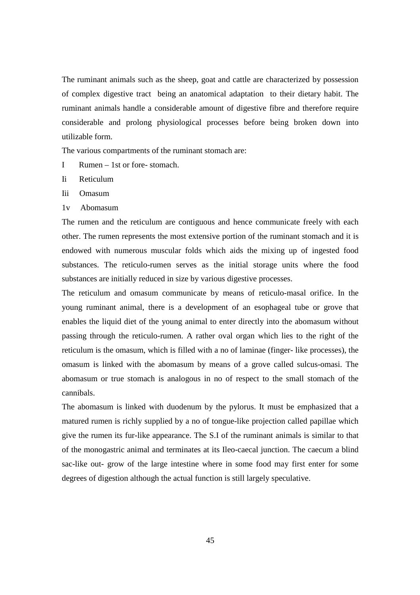The ruminant animals such as the sheep, goat and cattle are characterized by possession of complex digestive tract being an anatomical adaptation to their dietary habit. The ruminant animals handle a considerable amount of digestive fibre and therefore require considerable and prolong physiological processes before being broken down into utilizable form.

The various compartments of the ruminant stomach are:

- I Rumen 1st or fore- stomach.
- Ii Reticulum
- Iii Omasum
- 1v Abomasum

The rumen and the reticulum are contiguous and hence communicate freely with each other. The rumen represents the most extensive portion of the ruminant stomach and it is endowed with numerous muscular folds which aids the mixing up of ingested food substances. The reticulo-rumen serves as the initial storage units where the food substances are initially reduced in size by various digestive processes.

The reticulum and omasum communicate by means of reticulo-masal orifice. In the young ruminant animal, there is a development of an esophageal tube or grove that enables the liquid diet of the young animal to enter directly into the abomasum without passing through the reticulo-rumen. A rather oval organ which lies to the right of the reticulum is the omasum, which is filled with a no of laminae (finger- like processes), the omasum is linked with the abomasum by means of a grove called sulcus-omasi. The abomasum or true stomach is analogous in no of respect to the small stomach of the cannibals.

The abomasum is linked with duodenum by the pylorus. It must be emphasized that a matured rumen is richly supplied by a no of tongue-like projection called papillae which give the rumen its fur-like appearance. The S.I of the ruminant animals is similar to that of the monogastric animal and terminates at its Ileo-caecal junction. The caecum a blind sac-like out- grow of the large intestine where in some food may first enter for some degrees of digestion although the actual function is still largely speculative.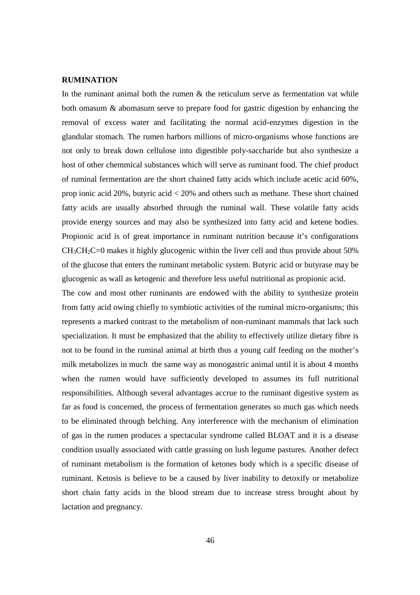## **RUMINATION**

In the ruminant animal both the rumen  $\&$  the reticulum serve as fermentation vat while both omasum & abomasum serve to prepare food for gastric digestion by enhancing the removal of excess water and facilitating the normal acid-enzymes digestion in the glandular stomach. The rumen harbors millions of micro-organisms whose functions are not only to break down cellulose into digestible poly-saccharide but also synthesize a host of other chemmical substances which will serve as ruminant food. The chief product of ruminal fermentation are the short chained fatty acids which include acetic acid 60%, prop ionic acid 20%, butyric acid < 20% and others such as methane. These short chained fatty acids are usually absorbed through the ruminal wall. These volatile fatty acids provide energy sources and may also be synthesized into fatty acid and ketene bodies. Propionic acid is of great importance in ruminant nutrition because it's configurations  $CH<sub>3</sub>CH<sub>2</sub>C=0$  makes it highly glucogenic within the liver cell and thus provide about 50% of the glucose that enters the ruminant metabolic system. Butyric acid or butyrase may be glucogenic as wall as ketogenic and therefore less useful nutritional as propionic acid.

The cow and most other ruminants are endowed with the ability to synthesize protein from fatty acid owing chiefly to symbiotic activities of the ruminal micro-organisms; this represents a marked contrast to the metabolism of non-ruminant mammals that lack such specialization. It must be emphasized that the ability to effectively utilize dietary fibre is not to be found in the ruminal animal at birth thus a young calf feeding on the mother's milk metabolizes in much the same way as monogastric animal until it is about 4 months when the rumen would have sufficiently developed to assumes its full nutritional responsibilities. Although several advantages accrue to the ruminant digestive system as far as food is concerned, the process of fermentation generates so much gas which needs to be eliminated through belching. Any interference with the mechanism of elimination of gas in the rumen produces a spectacular syndrome called BLOAT and it is a disease condition usually associated with cattle grassing on lush legume pastures. Another defect of ruminant metabolism is the formation of ketones body which is a specific disease of ruminant. Ketosis is believe to be a caused by liver inability to detoxify or metabolize short chain fatty acids in the blood stream due to increase stress brought about by lactation and pregnancy.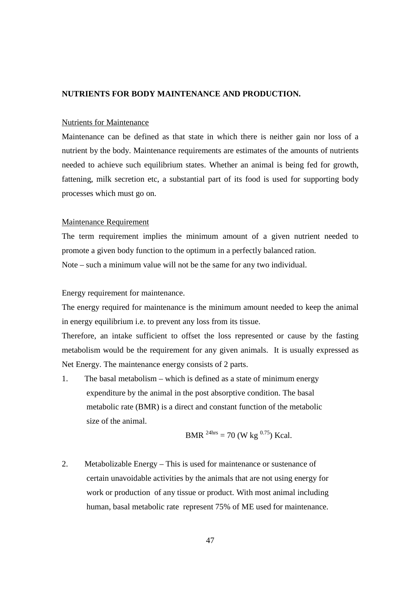#### **NUTRIENTS FOR BODY MAINTENANCE AND PRODUCTION.**

#### Nutrients for Maintenance

Maintenance can be defined as that state in which there is neither gain nor loss of a nutrient by the body. Maintenance requirements are estimates of the amounts of nutrients needed to achieve such equilibrium states. Whether an animal is being fed for growth, fattening, milk secretion etc, a substantial part of its food is used for supporting body processes which must go on.

#### Maintenance Requirement

The term requirement implies the minimum amount of a given nutrient needed to promote a given body function to the optimum in a perfectly balanced ration. Note – such a minimum value will not be the same for any two individual.

Energy requirement for maintenance.

The energy required for maintenance is the minimum amount needed to keep the animal in energy equilibrium i.e. to prevent any loss from its tissue.

Therefore, an intake sufficient to offset the loss represented or cause by the fasting metabolism would be the requirement for any given animals. It is usually expressed as Net Energy. The maintenance energy consists of 2 parts.

1. The basal metabolism – which is defined as a state of minimum energy expenditure by the animal in the post absorptive condition. The basal metabolic rate (BMR) is a direct and constant function of the metabolic size of the animal.

BMR 24hrs = 70 (W kg 0.75) Kcal.

2. Metabolizable Energy – This is used for maintenance or sustenance of certain unavoidable activities by the animals that are not using energy for work or production of any tissue or product. With most animal including human, basal metabolic rate represent 75% of ME used for maintenance.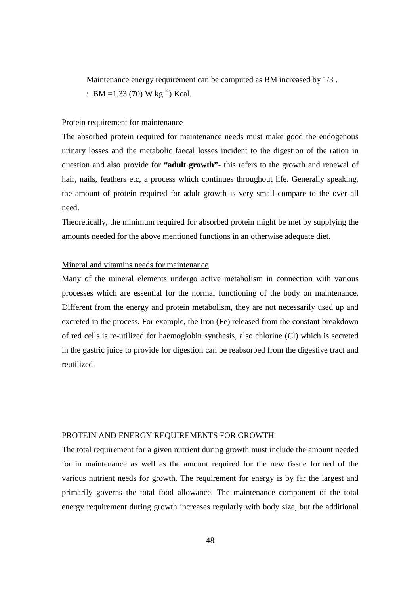Maintenance energy requirement can be computed as BM increased by 1/3 . :. BM = 1.33 (70) W kg<sup> $\frac{3}{4}$ </sup>) Kcal.

#### Protein requirement for maintenance

The absorbed protein required for maintenance needs must make good the endogenous urinary losses and the metabolic faecal losses incident to the digestion of the ration in question and also provide for **"adult growth"**- this refers to the growth and renewal of hair, nails, feathers etc, a process which continues throughout life. Generally speaking, the amount of protein required for adult growth is very small compare to the over all need.

Theoretically, the minimum required for absorbed protein might be met by supplying the amounts needed for the above mentioned functions in an otherwise adequate diet.

## Mineral and vitamins needs for maintenance

Many of the mineral elements undergo active metabolism in connection with various processes which are essential for the normal functioning of the body on maintenance. Different from the energy and protein metabolism, they are not necessarily used up and excreted in the process. For example, the Iron (Fe) released from the constant breakdown of red cells is re-utilized for haemoglobin synthesis, also chlorine (Cl) which is secreted in the gastric juice to provide for digestion can be reabsorbed from the digestive tract and reutilized.

#### PROTEIN AND ENERGY REQUIREMENTS FOR GROWTH

The total requirement for a given nutrient during growth must include the amount needed for in maintenance as well as the amount required for the new tissue formed of the various nutrient needs for growth. The requirement for energy is by far the largest and primarily governs the total food allowance. The maintenance component of the total energy requirement during growth increases regularly with body size, but the additional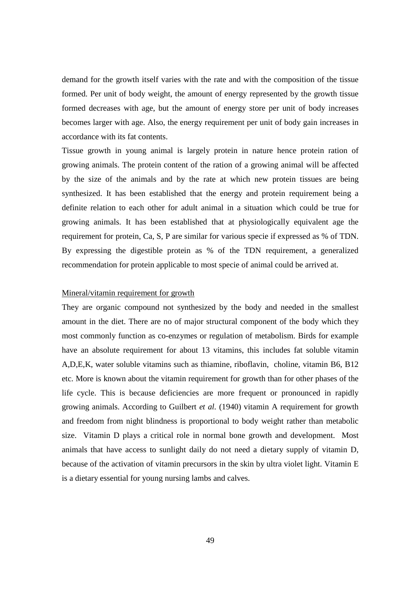demand for the growth itself varies with the rate and with the composition of the tissue formed. Per unit of body weight, the amount of energy represented by the growth tissue formed decreases with age, but the amount of energy store per unit of body increases becomes larger with age. Also, the energy requirement per unit of body gain increases in accordance with its fat contents.

Tissue growth in young animal is largely protein in nature hence protein ration of growing animals. The protein content of the ration of a growing animal will be affected by the size of the animals and by the rate at which new protein tissues are being synthesized. It has been established that the energy and protein requirement being a definite relation to each other for adult animal in a situation which could be true for growing animals. It has been established that at physiologically equivalent age the requirement for protein, Ca, S, P are similar for various specie if expressed as % of TDN. By expressing the digestible protein as % of the TDN requirement, a generalized recommendation for protein applicable to most specie of animal could be arrived at.

#### Mineral/vitamin requirement for growth

They are organic compound not synthesized by the body and needed in the smallest amount in the diet. There are no of major structural component of the body which they most commonly function as co-enzymes or regulation of metabolism. Birds for example have an absolute requirement for about 13 vitamins, this includes fat soluble vitamin A,D,E,K, water soluble vitamins such as thiamine, riboflavin, choline, vitamin B6, B12 etc. More is known about the vitamin requirement for growth than for other phases of the life cycle. This is because deficiencies are more frequent or pronounced in rapidly growing animals. According to Guilbert *et al.* (1940) vitamin A requirement for growth and freedom from night blindness is proportional to body weight rather than metabolic size. Vitamin D plays a critical role in normal bone growth and development. Most animals that have access to sunlight daily do not need a dietary supply of vitamin D, because of the activation of vitamin precursors in the skin by ultra violet light. Vitamin E is a dietary essential for young nursing lambs and calves.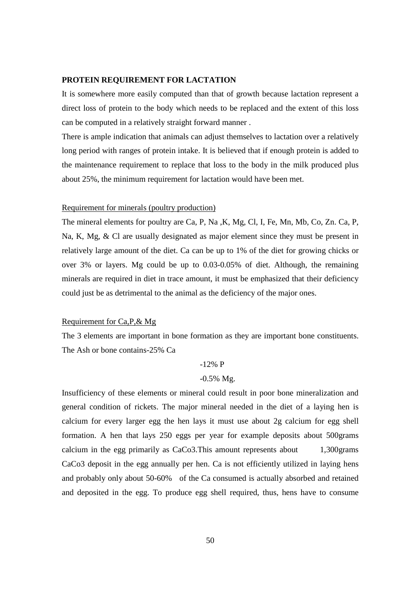#### **PROTEIN REQUIREMENT FOR LACTATION**

It is somewhere more easily computed than that of growth because lactation represent a direct loss of protein to the body which needs to be replaced and the extent of this loss can be computed in a relatively straight forward manner .

There is ample indication that animals can adjust themselves to lactation over a relatively long period with ranges of protein intake. It is believed that if enough protein is added to the maintenance requirement to replace that loss to the body in the milk produced plus about 25%, the minimum requirement for lactation would have been met.

#### Requirement for minerals (poultry production)

The mineral elements for poultry are Ca, P, Na ,K, Mg, Cl, I, Fe, Mn, Mb, Co, Zn. Ca, P, Na, K, Mg, & Cl are usually designated as major element since they must be present in relatively large amount of the diet. Ca can be up to 1% of the diet for growing chicks or over 3% or layers. Mg could be up to 0.03-0.05% of diet. Although, the remaining minerals are required in diet in trace amount, it must be emphasized that their deficiency could just be as detrimental to the animal as the deficiency of the major ones.

## Requirement for Ca,P,& Mg

The 3 elements are important in bone formation as they are important bone constituents. The Ash or bone contains-25% Ca

#### -12% P

#### -0.5% Mg.

Insufficiency of these elements or mineral could result in poor bone mineralization and general condition of rickets. The major mineral needed in the diet of a laying hen is calcium for every larger egg the hen lays it must use about 2g calcium for egg shell formation. A hen that lays 250 eggs per year for example deposits about 500grams calcium in the egg primarily as CaCo3.This amount represents about 1,300grams CaCo3 deposit in the egg annually per hen. Ca is not efficiently utilized in laying hens and probably only about 50-60% of the Ca consumed is actually absorbed and retained and deposited in the egg. To produce egg shell required, thus, hens have to consume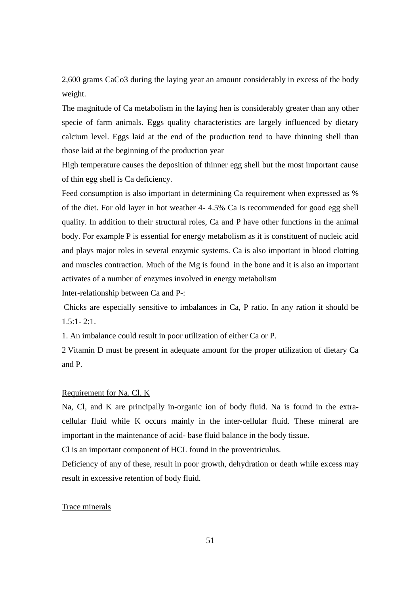2,600 grams CaCo3 during the laying year an amount considerably in excess of the body weight.

The magnitude of Ca metabolism in the laying hen is considerably greater than any other specie of farm animals. Eggs quality characteristics are largely influenced by dietary calcium level. Eggs laid at the end of the production tend to have thinning shell than those laid at the beginning of the production year

High temperature causes the deposition of thinner egg shell but the most important cause of thin egg shell is Ca deficiency.

Feed consumption is also important in determining Ca requirement when expressed as % of the diet. For old layer in hot weather 4- 4.5% Ca is recommended for good egg shell quality. In addition to their structural roles, Ca and P have other functions in the animal body. For example P is essential for energy metabolism as it is constituent of nucleic acid and plays major roles in several enzymic systems. Ca is also important in blood clotting and muscles contraction. Much of the Mg is found in the bone and it is also an important activates of a number of enzymes involved in energy metabolism

Inter-relationship between Ca and P-:

 Chicks are especially sensitive to imbalances in Ca, P ratio. In any ration it should be  $1.5:1 - 2:1$ .

1. An imbalance could result in poor utilization of either Ca or P.

2 Vitamin D must be present in adequate amount for the proper utilization of dietary Ca and P.

#### Requirement for Na, Cl, K

Na, Cl, and K are principally in-organic ion of body fluid. Na is found in the extracellular fluid while K occurs mainly in the inter-cellular fluid. These mineral are important in the maintenance of acid- base fluid balance in the body tissue.

Cl is an important component of HCL found in the proventriculus.

Deficiency of any of these, result in poor growth, dehydration or death while excess may result in excessive retention of body fluid.

## Trace minerals